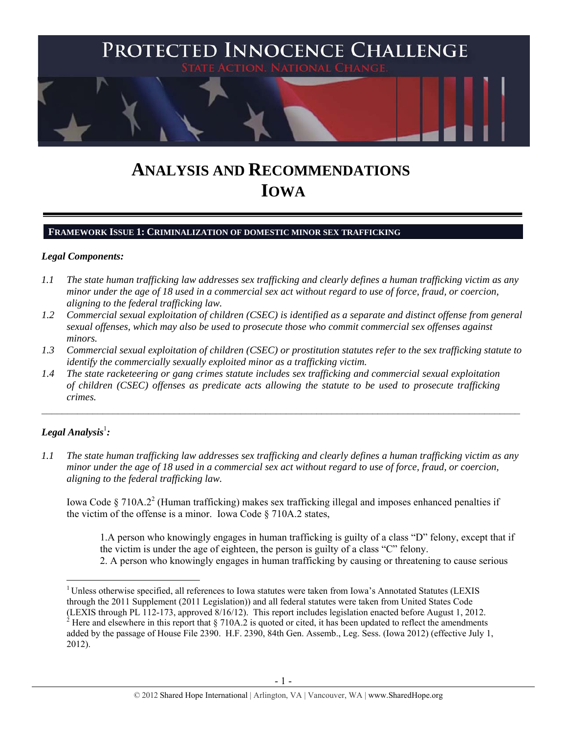

# **ANALYSIS AND RECOMMENDATIONS IOWA**

## **FRAMEWORK ISSUE 1: CRIMINALIZATION OF DOMESTIC MINOR SEX TRAFFICKING**

#### *Legal Components:*

- *1.1 The state human trafficking law addresses sex trafficking and clearly defines a human trafficking victim as any minor under the age of 18 used in a commercial sex act without regard to use of force, fraud, or coercion, aligning to the federal trafficking law.*
- *1.2 Commercial sexual exploitation of children (CSEC) is identified as a separate and distinct offense from general sexual offenses, which may also be used to prosecute those who commit commercial sex offenses against minors.*
- *1.3 Commercial sexual exploitation of children (CSEC) or prostitution statutes refer to the sex trafficking statute to identify the commercially sexually exploited minor as a trafficking victim.*
- *1.4 The state racketeering or gang crimes statute includes sex trafficking and commercial sexual exploitation of children (CSEC) offenses as predicate acts allowing the statute to be used to prosecute trafficking crimes.*

# $\bm{\mathit{Legal\, Analysis}^{\text{l}}:}$

 $\overline{a}$ 

*1.1 The state human trafficking law addresses sex trafficking and clearly defines a human trafficking victim as any minor under the age of 18 used in a commercial sex act without regard to use of force, fraud, or coercion, aligning to the federal trafficking law.* 

Iowa Code § 710A.2<sup>2</sup> (Human trafficking) makes sex trafficking illegal and imposes enhanced penalties if the victim of the offense is a minor. Iowa Code § 710A.2 states,

1.A person who knowingly engages in human trafficking is guilty of a class "D" felony, except that if the victim is under the age of eighteen, the person is guilty of a class "C" felony.

2. A person who knowingly engages in human trafficking by causing or threatening to cause serious

<sup>&</sup>lt;sup>1</sup> Unless otherwise specified, all references to Iowa statutes were taken from Iowa's Annotated Statutes (LEXIS through the 2011 Supplement (2011 Legislation)) and all federal statutes were taken from United States Code (LEXIS through PL 112-173, approved 8/16/12). This report includes legislation enacted before August 1, 2012.

<sup>&</sup>lt;sup>2</sup> Here and elsewhere in this report that § 710A.2 is quoted or cited, it has been updated to reflect the amendments added by the passage of House File 2390. H.F. 2390, 84th Gen. Assemb., Leg. Sess. (Iowa 2012) (effective July 1, 2012).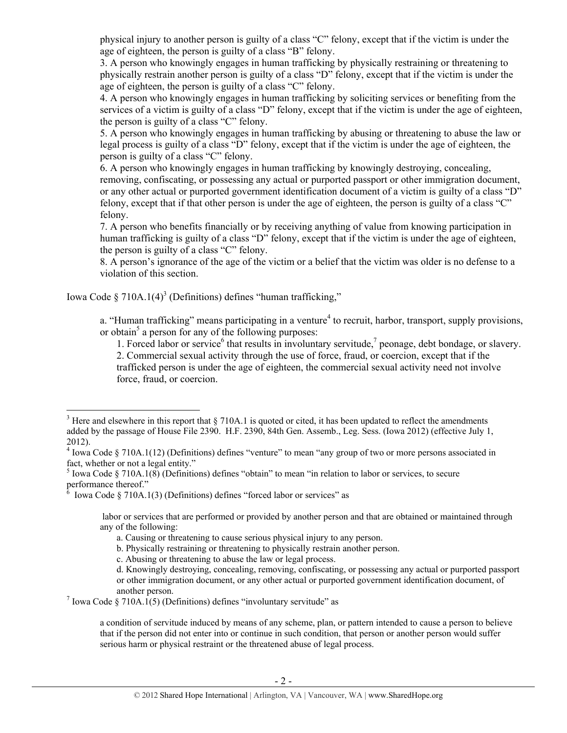physical injury to another person is guilty of a class "C" felony, except that if the victim is under the age of eighteen, the person is guilty of a class "B" felony.

3. A person who knowingly engages in human trafficking by physically restraining or threatening to physically restrain another person is guilty of a class "D" felony, except that if the victim is under the age of eighteen, the person is guilty of a class "C" felony.

4. A person who knowingly engages in human trafficking by soliciting services or benefiting from the services of a victim is guilty of a class "D" felony, except that if the victim is under the age of eighteen, the person is guilty of a class "C" felony.

5. A person who knowingly engages in human trafficking by abusing or threatening to abuse the law or legal process is guilty of a class "D" felony, except that if the victim is under the age of eighteen, the person is guilty of a class "C" felony.

6. A person who knowingly engages in human trafficking by knowingly destroying, concealing, removing, confiscating, or possessing any actual or purported passport or other immigration document, or any other actual or purported government identification document of a victim is guilty of a class "D" felony, except that if that other person is under the age of eighteen, the person is guilty of a class "C" felony.

7. A person who benefits financially or by receiving anything of value from knowing participation in human trafficking is guilty of a class "D" felony, except that if the victim is under the age of eighteen, the person is guilty of a class "C" felony.

8. A person's ignorance of the age of the victim or a belief that the victim was older is no defense to a violation of this section.

Iowa Code §  $710A.1(4)^3$  (Definitions) defines "human trafficking,"

force, fraud, or coercion.

 $\overline{a}$ 

a. "Human trafficking" means participating in a venture<sup>4</sup> to recruit, harbor, transport, supply provisions, or obtain<sup>5</sup> a person for any of the following purposes:

1. Forced labor or service<sup>6</sup> that results in involuntary servitude,<sup>7</sup> peonage, debt bondage, or slavery. 2. Commercial sexual activity through the use of force, fraud, or coercion, except that if the trafficked person is under the age of eighteen, the commercial sexual activity need not involve

<sup>&</sup>lt;sup>3</sup> Here and elsewhere in this report that  $\S$  710A.1 is quoted or cited, it has been updated to reflect the amendments

added by the passage of House File 2390. H.F. 2390, 84th Gen. Assemb., Leg. Sess. (Iowa 2012) (effective July 1, 2012).

 $4$  Iowa Code § 710A.1(12) (Definitions) defines "venture" to mean "any group of two or more persons associated in fact, whether or not a legal entity."

<sup>&</sup>lt;sup>5</sup> Iowa Code § 710A.1(8) (Definitions) defines "obtain" to mean "in relation to labor or services, to secure performance thereof."

 $\delta$  Iowa Code § 710A.1(3) (Definitions) defines "forced labor or services" as

labor or services that are performed or provided by another person and that are obtained or maintained through any of the following:

a. Causing or threatening to cause serious physical injury to any person.

b. Physically restraining or threatening to physically restrain another person.

c. Abusing or threatening to abuse the law or legal process.

d. Knowingly destroying, concealing, removing, confiscating, or possessing any actual or purported passport or other immigration document, or any other actual or purported government identification document, of

another person.<br><sup>7</sup> Iowa Code § 710A.1(5) (Definitions) defines "involuntary servitude" as

a condition of servitude induced by means of any scheme, plan, or pattern intended to cause a person to believe that if the person did not enter into or continue in such condition, that person or another person would suffer serious harm or physical restraint or the threatened abuse of legal process.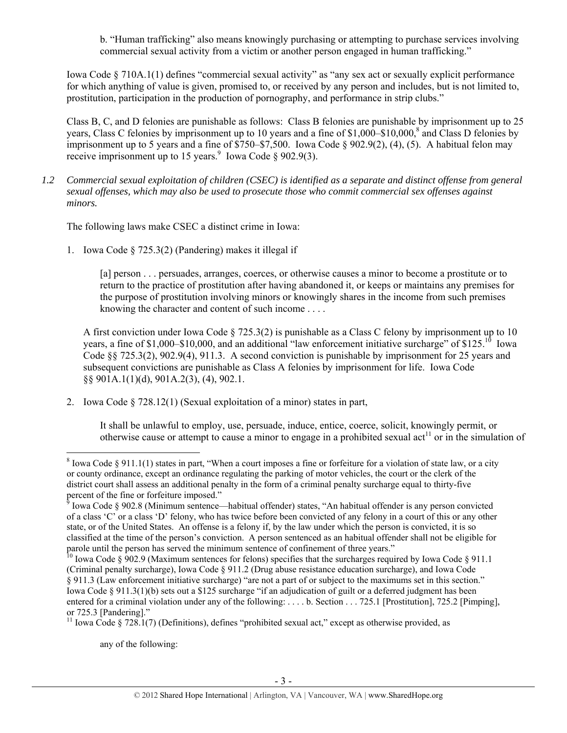b. "Human trafficking" also means knowingly purchasing or attempting to purchase services involving commercial sexual activity from a victim or another person engaged in human trafficking."

Iowa Code § 710A.1(1) defines "commercial sexual activity" as "any sex act or sexually explicit performance for which anything of value is given, promised to, or received by any person and includes, but is not limited to, prostitution, participation in the production of pornography, and performance in strip clubs."

Class B, C, and D felonies are punishable as follows: Class B felonies are punishable by imprisonment up to 25 years, Class C felonies by imprisonment up to 10 years and a fine of \$1,000–\$10,000,<sup>8</sup> and Class D felonies by imprisonment up to 5 years and a fine of \$750–\$7,500. Iowa Code § 902.9(2), (4), (5). A habitual felon may receive imprisonment up to 15 years. Use Code § 902.9(3).

*1.2 Commercial sexual exploitation of children (CSEC) is identified as a separate and distinct offense from general sexual offenses, which may also be used to prosecute those who commit commercial sex offenses against minors.* 

The following laws make CSEC a distinct crime in Iowa:

1. Iowa Code § 725.3(2) (Pandering) makes it illegal if

[a] person . . . persuades, arranges, coerces, or otherwise causes a minor to become a prostitute or to return to the practice of prostitution after having abandoned it, or keeps or maintains any premises for the purpose of prostitution involving minors or knowingly shares in the income from such premises knowing the character and content of such income . . . .

A first conviction under Iowa Code § 725.3(2) is punishable as a Class C felony by imprisonment up to 10 years, a fine of \$1,000–\$10,000, and an additional "law enforcement initiative surcharge" of \$125.<sup>10</sup> Iowa Code §§ 725.3(2), 902.9(4), 911.3. A second conviction is punishable by imprisonment for 25 years and subsequent convictions are punishable as Class A felonies by imprisonment for life. Iowa Code §§ 901A.1(1)(d), 901A.2(3), (4), 902.1.

2. Iowa Code § 728.12(1) (Sexual exploitation of a minor) states in part,

It shall be unlawful to employ, use, persuade, induce, entice, coerce, solicit, knowingly permit, or otherwise cause or attempt to cause a minor to engage in a prohibited sexual act<sup>11</sup> or in the simulation of

any of the following:

<sup>&</sup>lt;sup>8</sup> Iowa Code § 911.1(1) states in part, "When a court imposes a fine or forfeiture for a violation of state law, or a city or county ordinance, except an ordinance regulating the parking of motor vehicles, the court or the clerk of the district court shall assess an additional penalty in the form of a criminal penalty surcharge equal to thirty-five

percent of the fine or forfeiture imposed."<br><sup>9</sup> Iowa Code § 902.8 (Minimum sentence—habitual offender) states, "An habitual offender is any person convicted of a class 'C' or a class 'D' felony, who has twice before been convicted of any felony in a court of this or any other state, or of the United States. An offense is a felony if, by the law under which the person is convicted, it is so classified at the time of the person's conviction. A person sentenced as an habitual offender shall not be eligible for parole until the person has served the minimum sentence of confinement of three years."

<sup>&</sup>lt;sup>10</sup> Iowa Code § 902.9 (Maximum sentences for felons) specifies that the surcharges required by Iowa Code § 911.1 (Criminal penalty surcharge), Iowa Code § 911.2 (Drug abuse resistance education surcharge), and Iowa Code § 911.3 (Law enforcement initiative surcharge) "are not a part of or subject to the maximums set in this section." Iowa Code § 911.3(1)(b) sets out a \$125 surcharge "if an adjudication of guilt or a deferred judgment has been entered for a criminal violation under any of the following: . . . . b. Section . . . 725.1 [Prostitution], 725.2 [Pimping], or 725.3 [Pandering]."

<sup>&</sup>lt;sup>11</sup> Iowa Code § 728.1(7) (Definitions), defines "prohibited sexual act," except as otherwise provided, as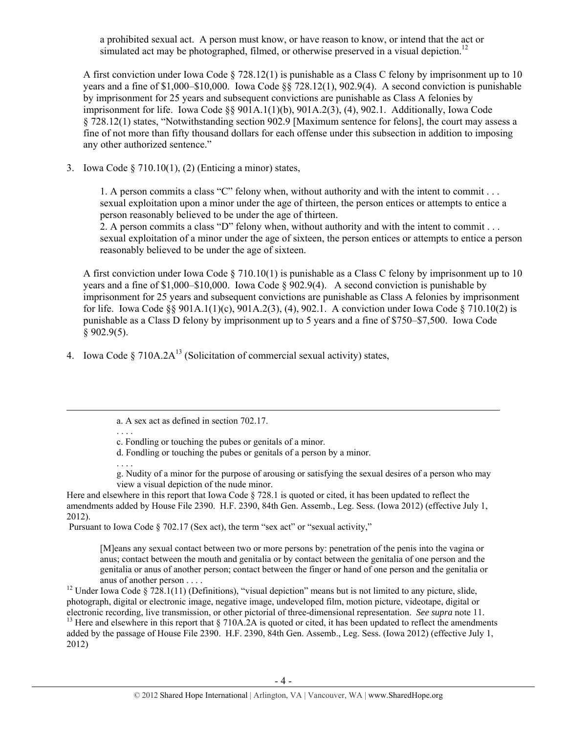a prohibited sexual act. A person must know, or have reason to know, or intend that the act or simulated act may be photographed, filmed, or otherwise preserved in a visual depiction.<sup>12</sup>

A first conviction under Iowa Code § 728.12(1) is punishable as a Class C felony by imprisonment up to 10 years and a fine of \$1,000–\$10,000. Iowa Code §§ 728.12(1), 902.9(4). A second conviction is punishable by imprisonment for 25 years and subsequent convictions are punishable as Class A felonies by imprisonment for life. Iowa Code §§ 901A.1(1)(b), 901A.2(3), (4), 902.1. Additionally, Iowa Code § 728.12(1) states, "Notwithstanding section 902.9 [Maximum sentence for felons], the court may assess a fine of not more than fifty thousand dollars for each offense under this subsection in addition to imposing any other authorized sentence."

3. Iowa Code § 710.10(1), (2) (Enticing a minor) states,

1. A person commits a class "C" felony when, without authority and with the intent to commit . . . sexual exploitation upon a minor under the age of thirteen, the person entices or attempts to entice a person reasonably believed to be under the age of thirteen.

2. A person commits a class "D" felony when, without authority and with the intent to commit . . . sexual exploitation of a minor under the age of sixteen, the person entices or attempts to entice a person reasonably believed to be under the age of sixteen.

A first conviction under Iowa Code  $\S 710.10(1)$  is punishable as a Class C felony by imprisonment up to 10 years and a fine of \$1,000–\$10,000. Iowa Code § 902.9(4). A second conviction is punishable by imprisonment for 25 years and subsequent convictions are punishable as Class A felonies by imprisonment for life. Iowa Code §§ 901A.1(1)(c), 901A.2(3), (4), 902.1. A conviction under Iowa Code § 710.10(2) is punishable as a Class D felony by imprisonment up to 5 years and a fine of \$750–\$7,500. Iowa Code  $§$  902.9(5).

4. Iowa Code § 710A.2A<sup>13</sup> (Solicitation of commercial sexual activity) states,

. . . . g. Nudity of a minor for the purpose of arousing or satisfying the sexual desires of a person who may view a visual depiction of the nude minor.

Here and elsewhere in this report that Iowa Code § 728.1 is quoted or cited, it has been updated to reflect the amendments added by House File 2390. H.F. 2390, 84th Gen. Assemb., Leg. Sess. (Iowa 2012) (effective July 1, 2012).

Pursuant to Iowa Code § 702.17 (Sex act), the term "sex act" or "sexual activity,"

[M]eans any sexual contact between two or more persons by: penetration of the penis into the vagina or anus; contact between the mouth and genitalia or by contact between the genitalia of one person and the genitalia or anus of another person; contact between the finger or hand of one person and the genitalia or

anus of another person . . . .<br><sup>12</sup> Under Iowa Code § 728.1(11) (Definitions), "visual depiction" means but is not limited to any picture, slide, photograph, digital or electronic image, negative image, undeveloped film, motion picture, videotape, digital or electronic recording, live transmission, or other pictorial of three-dimensional representation. See supra no <sup>13</sup> Here and elsewhere in this report that  $\S 710A.2A$  is quoted or cited, it has been updated to reflect the amendments added by the passage of House File 2390. H.F. 2390, 84th Gen. Assemb., Leg. Sess. (Iowa 2012) (effective July 1, 2012)

a. A sex act as defined in section 702.17.

<sup>. . . .</sup>  c. Fondling or touching the pubes or genitals of a minor.

d. Fondling or touching the pubes or genitals of a person by a minor.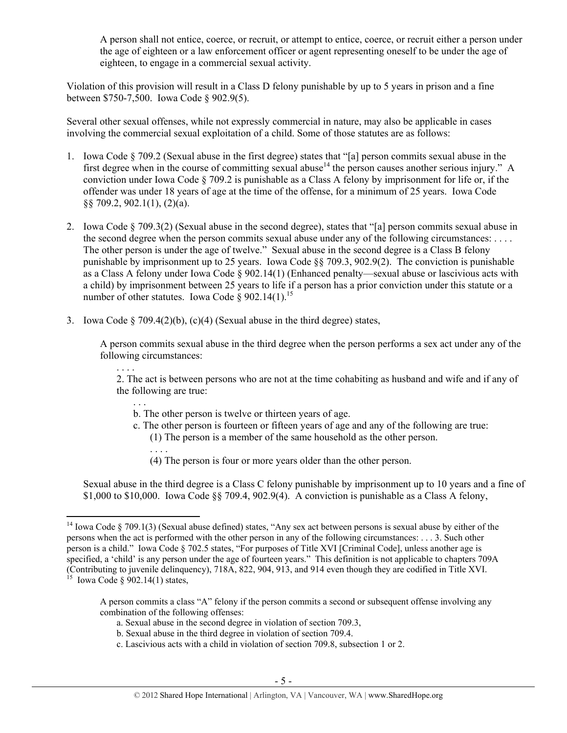A person shall not entice, coerce, or recruit, or attempt to entice, coerce, or recruit either a person under the age of eighteen or a law enforcement officer or agent representing oneself to be under the age of eighteen, to engage in a commercial sexual activity.

Violation of this provision will result in a Class D felony punishable by up to 5 years in prison and a fine between \$750-7,500. Iowa Code § 902.9(5).

Several other sexual offenses, while not expressly commercial in nature, may also be applicable in cases involving the commercial sexual exploitation of a child. Some of those statutes are as follows:

- 1. Iowa Code § 709.2 (Sexual abuse in the first degree) states that "[a] person commits sexual abuse in the first degree when in the course of committing sexual abuse<sup>14</sup> the person causes another serious injury." A conviction under Iowa Code § 709.2 is punishable as a Class A felony by imprisonment for life or, if the offender was under 18 years of age at the time of the offense, for a minimum of 25 years. Iowa Code §§ 709.2, 902.1(1), (2)(a).
- 2. Iowa Code § 709.3(2) (Sexual abuse in the second degree), states that "[a] person commits sexual abuse in the second degree when the person commits sexual abuse under any of the following circumstances: . . . . The other person is under the age of twelve." Sexual abuse in the second degree is a Class B felony punishable by imprisonment up to 25 years. Iowa Code §§ 709.3, 902.9(2). The conviction is punishable as a Class A felony under Iowa Code § 902.14(1) (Enhanced penalty—sexual abuse or lascivious acts with a child) by imprisonment between 25 years to life if a person has a prior conviction under this statute or a number of other statutes. Iowa Code  $\delta$  902.14(1).<sup>15</sup>
- 3. Iowa Code § 709.4(2)(b), (c)(4) (Sexual abuse in the third degree) states,

A person commits sexual abuse in the third degree when the person performs a sex act under any of the following circumstances:

2. The act is between persons who are not at the time cohabiting as husband and wife and if any of the following are true:

- b. The other person is twelve or thirteen years of age.
- c. The other person is fourteen or fifteen years of age and any of the following are true:
	- (1) The person is a member of the same household as the other person.
	- . . . .

. . . .

 $\overline{a}$ 

. . .

(4) The person is four or more years older than the other person.

Sexual abuse in the third degree is a Class C felony punishable by imprisonment up to 10 years and a fine of \$1,000 to \$10,000. Iowa Code  $\S$  709.4, 902.9(4). A conviction is punishable as a Class A felony,

- a. Sexual abuse in the second degree in violation of section 709.3,
- b. Sexual abuse in the third degree in violation of section 709.4.
- c. Lascivious acts with a child in violation of section 709.8, subsection 1 or 2.

<sup>&</sup>lt;sup>14</sup> Iowa Code § 709.1(3) (Sexual abuse defined) states, "Any sex act between persons is sexual abuse by either of the persons when the act is performed with the other person in any of the following circumstances: . . . 3. Such other person is a child." Iowa Code § 702.5 states, "For purposes of Title XVI [Criminal Code], unless another age is specified, a 'child' is any person under the age of fourteen years." This definition is not applicable to chapters 709A (Contributing to juvenile delinquency), 718A, 822, 904, 913, and 914 even though they are codified in Title XVI.<br><sup>15</sup> Iowa Code § 902.14(1) states,

A person commits a class "A" felony if the person commits a second or subsequent offense involving any combination of the following offenses: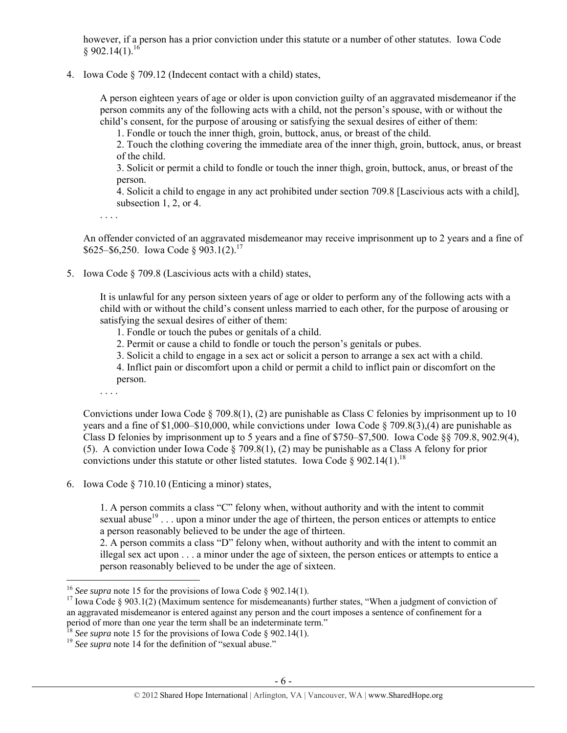however, if a person has a prior conviction under this statute or a number of other statutes. Iowa Code  $$902.14(1).$ <sup>16</sup>

4. Iowa Code § 709.12 (Indecent contact with a child) states,

A person eighteen years of age or older is upon conviction guilty of an aggravated misdemeanor if the person commits any of the following acts with a child, not the person's spouse, with or without the child's consent, for the purpose of arousing or satisfying the sexual desires of either of them:

1. Fondle or touch the inner thigh, groin, buttock, anus, or breast of the child.

2. Touch the clothing covering the immediate area of the inner thigh, groin, buttock, anus, or breast of the child.

3. Solicit or permit a child to fondle or touch the inner thigh, groin, buttock, anus, or breast of the person.

4. Solicit a child to engage in any act prohibited under section 709.8 [Lascivious acts with a child], subsection 1, 2, or 4.

. . . .

An offender convicted of an aggravated misdemeanor may receive imprisonment up to 2 years and a fine of  $$625–$6,250. Iowa Code § 903.1(2).<sup>17</sup>$ 

5. Iowa Code § 709.8 (Lascivious acts with a child) states,

It is unlawful for any person sixteen years of age or older to perform any of the following acts with a child with or without the child's consent unless married to each other, for the purpose of arousing or satisfying the sexual desires of either of them:

- 1. Fondle or touch the pubes or genitals of a child.
- 2. Permit or cause a child to fondle or touch the person's genitals or pubes.
- 3. Solicit a child to engage in a sex act or solicit a person to arrange a sex act with a child.

4. Inflict pain or discomfort upon a child or permit a child to inflict pain or discomfort on the person.

. . . .

 $\overline{a}$ 

Convictions under Iowa Code  $\S 709.8(1)$ , (2) are punishable as Class C felonies by imprisonment up to 10 years and a fine of \$1,000–\$10,000, while convictions under Iowa Code § 709.8(3),(4) are punishable as Class D felonies by imprisonment up to 5 years and a fine of \$750–\$7,500. Iowa Code §§ 709.8, 902.9(4), (5). A conviction under Iowa Code § 709.8(1), (2) may be punishable as a Class A felony for prior convictions under this statute or other listed statutes. Iowa Code § 902.14(1).<sup>18</sup>

6. Iowa Code § 710.10 (Enticing a minor) states,

1. A person commits a class "C" felony when, without authority and with the intent to commit sexual abuse<sup>19</sup> . . . upon a minor under the age of thirteen, the person entices or attempts to entice a person reasonably believed to be under the age of thirteen.

2. A person commits a class "D" felony when, without authority and with the intent to commit an illegal sex act upon . . . a minor under the age of sixteen, the person entices or attempts to entice a person reasonably believed to be under the age of sixteen.

<sup>&</sup>lt;sup>16</sup> See supra note 15 for the provisions of Iowa Code § 902.14(1).<br><sup>17</sup> Iowa Code § 903.1(2) (Maximum sentence for misdemeanants) further states, "When a judgment of conviction of an aggravated misdemeanor is entered against any person and the court imposes a sentence of confinement for a period of more than one year the term shall be an indeterminate term."

<sup>&</sup>lt;sup>18</sup> *See supra* note 15 for the provisions of Iowa Code § 902.14(1). <sup>19</sup> *See supra* note 14 for the definition of "sexual abuse."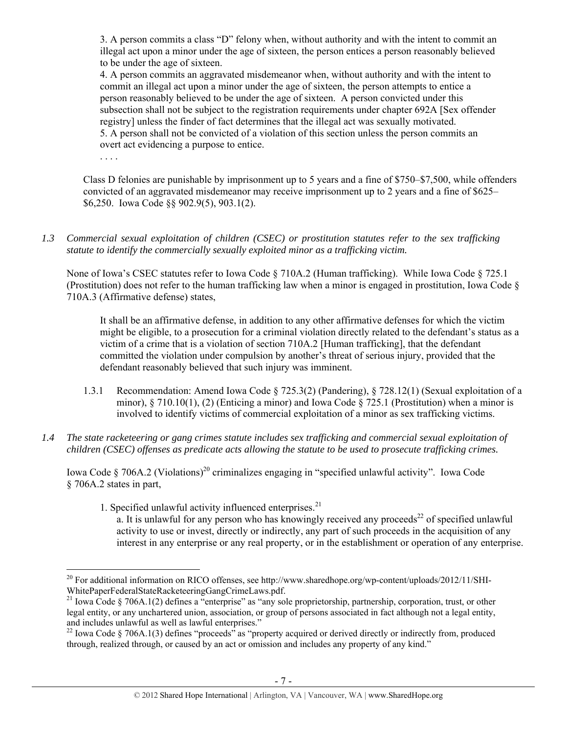3. A person commits a class "D" felony when, without authority and with the intent to commit an illegal act upon a minor under the age of sixteen, the person entices a person reasonably believed to be under the age of sixteen.

4. A person commits an aggravated misdemeanor when, without authority and with the intent to commit an illegal act upon a minor under the age of sixteen, the person attempts to entice a person reasonably believed to be under the age of sixteen. A person convicted under this subsection shall not be subject to the registration requirements under chapter 692A [Sex offender registry] unless the finder of fact determines that the illegal act was sexually motivated. 5. A person shall not be convicted of a violation of this section unless the person commits an overt act evidencing a purpose to entice.

. . . .

Class D felonies are punishable by imprisonment up to 5 years and a fine of \$750–\$7,500, while offenders convicted of an aggravated misdemeanor may receive imprisonment up to 2 years and a fine of \$625– \$6,250. Iowa Code §§ 902.9(5), 903.1(2).

*1.3 Commercial sexual exploitation of children (CSEC) or prostitution statutes refer to the sex trafficking statute to identify the commercially sexually exploited minor as a trafficking victim.* 

None of Iowa's CSEC statutes refer to Iowa Code § 710A.2 (Human trafficking). While Iowa Code § 725.1 (Prostitution) does not refer to the human trafficking law when a minor is engaged in prostitution, Iowa Code § 710A.3 (Affirmative defense) states,

It shall be an affirmative defense, in addition to any other affirmative defenses for which the victim might be eligible, to a prosecution for a criminal violation directly related to the defendant's status as a victim of a crime that is a violation of section 710A.2 [Human trafficking], that the defendant committed the violation under compulsion by another's threat of serious injury, provided that the defendant reasonably believed that such injury was imminent.

- 1.3.1 Recommendation: Amend Iowa Code § 725.3(2) (Pandering), § 728.12(1) (Sexual exploitation of a minor), § 710.10(1), (2) (Enticing a minor) and Iowa Code § 725.1 (Prostitution) when a minor is involved to identify victims of commercial exploitation of a minor as sex trafficking victims.
- *1.4 The state racketeering or gang crimes statute includes sex trafficking and commercial sexual exploitation of children (CSEC) offenses as predicate acts allowing the statute to be used to prosecute trafficking crimes.*

Iowa Code § 706A.2 (Violations)<sup>20</sup> criminalizes engaging in "specified unlawful activity". Iowa Code § 706A.2 states in part,

1. Specified unlawful activity influenced enterprises. $21$ 

a. It is unlawful for any person who has knowingly received any proceeds<sup>22</sup> of specified unlawful activity to use or invest, directly or indirectly, any part of such proceeds in the acquisition of any interest in any enterprise or any real property, or in the establishment or operation of any enterprise.

 $\overline{a}$ <sup>20</sup> For additional information on RICO offenses, see http://www.sharedhope.org/wp-content/uploads/2012/11/SHI-WhitePaperFederalStateRacketeeringGangCrimeLaws.pdf.<br><sup>21</sup> Iowa Code § 706A.1(2) defines a "enterprise" as "any sole proprietorship, partnership, corporation, trust, or other

legal entity, or any unchartered union, association, or group of persons associated in fact although not a legal entity, and includes unlawful as well as lawful enterprises."<br><sup>22</sup> Iowa Code § 706A.1(3) defines "proceeds" as "property acquired or derived directly or indirectly from, produced

through, realized through, or caused by an act or omission and includes any property of any kind."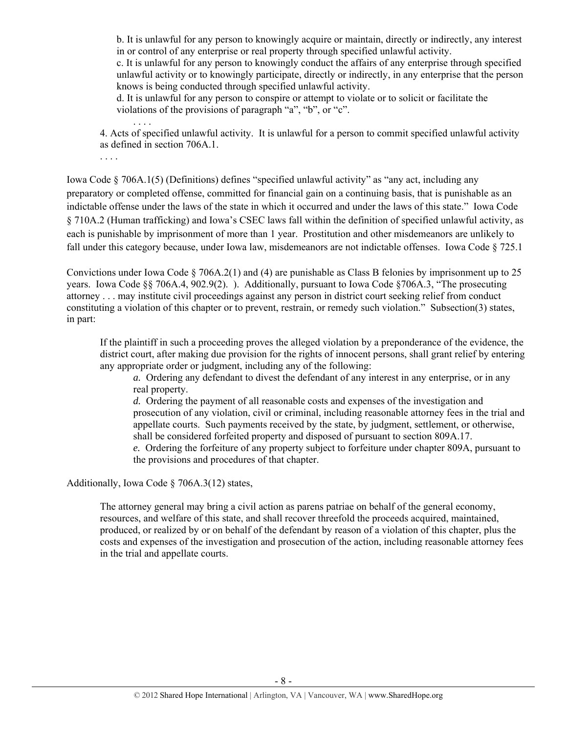b. It is unlawful for any person to knowingly acquire or maintain, directly or indirectly, any interest in or control of any enterprise or real property through specified unlawful activity.

c. It is unlawful for any person to knowingly conduct the affairs of any enterprise through specified unlawful activity or to knowingly participate, directly or indirectly, in any enterprise that the person knows is being conducted through specified unlawful activity.

d. It is unlawful for any person to conspire or attempt to violate or to solicit or facilitate the violations of the provisions of paragraph "a", "b", or "c".

 . . . . 4. Acts of specified unlawful activity. It is unlawful for a person to commit specified unlawful activity as defined in section 706A.1.

. . . .

Iowa Code § 706A.1(5) (Definitions) defines "specified unlawful activity" as "any act, including any preparatory or completed offense, committed for financial gain on a continuing basis, that is punishable as an indictable offense under the laws of the state in which it occurred and under the laws of this state." Iowa Code § 710A.2 (Human trafficking) and Iowa's CSEC laws fall within the definition of specified unlawful activity, as each is punishable by imprisonment of more than 1 year. Prostitution and other misdemeanors are unlikely to fall under this category because, under Iowa law, misdemeanors are not indictable offenses. Iowa Code § 725.1

Convictions under Iowa Code § 706A.2(1) and (4) are punishable as Class B felonies by imprisonment up to 25 years. Iowa Code §§ 706A.4, 902.9(2). ). Additionally, pursuant to Iowa Code §706A.3, "The prosecuting attorney . . . may institute civil proceedings against any person in district court seeking relief from conduct constituting a violation of this chapter or to prevent, restrain, or remedy such violation." Subsection(3) states, in part:

If the plaintiff in such a proceeding proves the alleged violation by a preponderance of the evidence, the district court, after making due provision for the rights of innocent persons, shall grant relief by entering any appropriate order or judgment, including any of the following:

*a.* Ordering any defendant to divest the defendant of any interest in any enterprise, or in any real property.

*d.* Ordering the payment of all reasonable costs and expenses of the investigation and prosecution of any violation, civil or criminal, including reasonable attorney fees in the trial and appellate courts. Such payments received by the state, by judgment, settlement, or otherwise, shall be considered forfeited property and disposed of pursuant to section 809A.17.

*e.* Ordering the forfeiture of any property subject to forfeiture under chapter 809A, pursuant to the provisions and procedures of that chapter.

Additionally, Iowa Code § 706A.3(12) states,

The attorney general may bring a civil action as parens patriae on behalf of the general economy, resources, and welfare of this state, and shall recover threefold the proceeds acquired, maintained, produced, or realized by or on behalf of the defendant by reason of a violation of this chapter, plus the costs and expenses of the investigation and prosecution of the action, including reasonable attorney fees in the trial and appellate courts.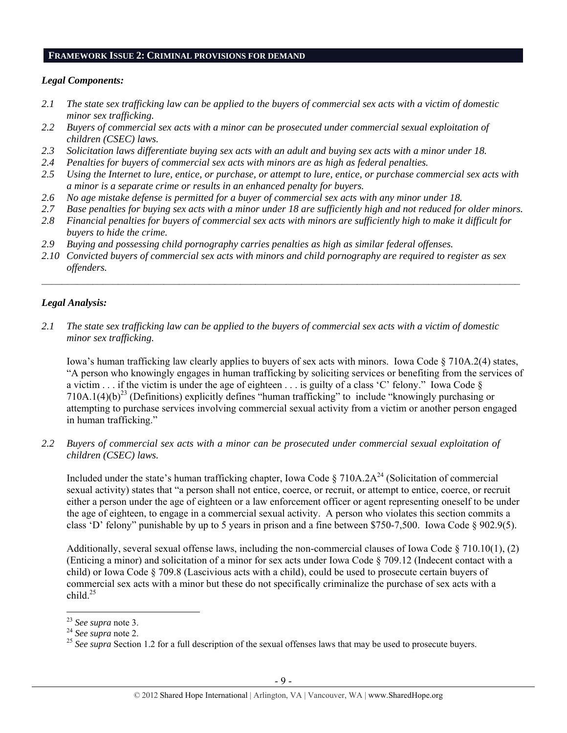## **FRAMEWORK ISSUE 2: CRIMINAL PROVISIONS FOR DEMAND**

## *Legal Components:*

- *2.1 The state sex trafficking law can be applied to the buyers of commercial sex acts with a victim of domestic minor sex trafficking.*
- *2.2 Buyers of commercial sex acts with a minor can be prosecuted under commercial sexual exploitation of children (CSEC) laws.*
- *2.3 Solicitation laws differentiate buying sex acts with an adult and buying sex acts with a minor under 18.*
- *2.4 Penalties for buyers of commercial sex acts with minors are as high as federal penalties.*
- *2.5 Using the Internet to lure, entice, or purchase, or attempt to lure, entice, or purchase commercial sex acts with a minor is a separate crime or results in an enhanced penalty for buyers.*
- *2.6 No age mistake defense is permitted for a buyer of commercial sex acts with any minor under 18.*
- *2.7 Base penalties for buying sex acts with a minor under 18 are sufficiently high and not reduced for older minors.*
- *2.8 Financial penalties for buyers of commercial sex acts with minors are sufficiently high to make it difficult for buyers to hide the crime.*
- *2.9 Buying and possessing child pornography carries penalties as high as similar federal offenses.*
- *2.10 Convicted buyers of commercial sex acts with minors and child pornography are required to register as sex offenders.*

 $\mathcal{L}_\mathcal{L} = \{ \mathcal{L}_\mathcal{L} = \{ \mathcal{L}_\mathcal{L} = \{ \mathcal{L}_\mathcal{L} = \{ \mathcal{L}_\mathcal{L} = \{ \mathcal{L}_\mathcal{L} = \{ \mathcal{L}_\mathcal{L} = \{ \mathcal{L}_\mathcal{L} = \{ \mathcal{L}_\mathcal{L} = \{ \mathcal{L}_\mathcal{L} = \{ \mathcal{L}_\mathcal{L} = \{ \mathcal{L}_\mathcal{L} = \{ \mathcal{L}_\mathcal{L} = \{ \mathcal{L}_\mathcal{L} = \{ \mathcal{L}_\mathcal{$ 

## *Legal Analysis:*

*2.1 The state sex trafficking law can be applied to the buyers of commercial sex acts with a victim of domestic minor sex trafficking.* 

Iowa's human trafficking law clearly applies to buyers of sex acts with minors. Iowa Code § 710A.2(4) states, "A person who knowingly engages in human trafficking by soliciting services or benefiting from the services of a victim  $\ldots$  if the victim is under the age of eighteen  $\ldots$  is guilty of a class 'C' felony." Iowa Code  $\S$  $710A.1(4)(b)^{23}$  (Definitions) explicitly defines "human trafficking" to include "knowingly purchasing or attempting to purchase services involving commercial sexual activity from a victim or another person engaged in human trafficking."

*2.2 Buyers of commercial sex acts with a minor can be prosecuted under commercial sexual exploitation of children (CSEC) laws.* 

Included under the state's human trafficking chapter, Iowa Code  $\S 710A.2A^{24}$  (Solicitation of commercial sexual activity) states that "a person shall not entice, coerce, or recruit, or attempt to entice, coerce, or recruit either a person under the age of eighteen or a law enforcement officer or agent representing oneself to be under the age of eighteen, to engage in a commercial sexual activity. A person who violates this section commits a class 'D' felony" punishable by up to 5 years in prison and a fine between \$750-7,500. Iowa Code § 902.9(5).

Additionally, several sexual offense laws, including the non-commercial clauses of Iowa Code § 710.10(1), (2) (Enticing a minor) and solicitation of a minor for sex acts under Iowa Code § 709.12 (Indecent contact with a child) or Iowa Code § 709.8 (Lascivious acts with a child), could be used to prosecute certain buyers of commercial sex acts with a minor but these do not specifically criminalize the purchase of sex acts with a child. $25$ 

 $23$  See supra note 3.

<sup>&</sup>lt;sup>24</sup> *See supra* note 2.<br><sup>25</sup> *See supra* Section 1.2 for a full description of the sexual offenses laws that may be used to prosecute buyers.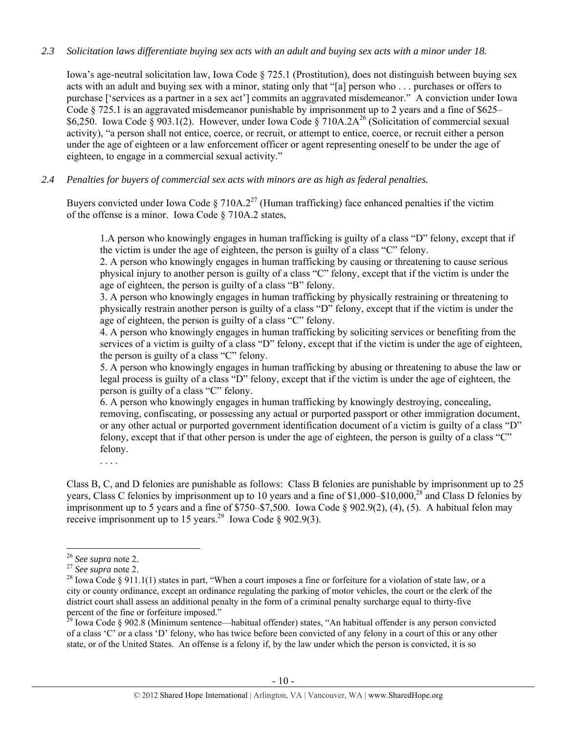## *2.3 Solicitation laws differentiate buying sex acts with an adult and buying sex acts with a minor under 18.*

Iowa's age-neutral solicitation law, Iowa Code § 725.1 (Prostitution), does not distinguish between buying sex acts with an adult and buying sex with a minor, stating only that "[a] person who . . . purchases or offers to purchase ['services as a partner in a sex act'] commits an aggravated misdemeanor." A conviction under Iowa Code § 725.1 is an aggravated misdemeanor punishable by imprisonment up to 2 years and a fine of \$625– \$6,250. Iowa Code § 903.1(2). However, under Iowa Code § 710A.2A<sup>26</sup> (Solicitation of commercial sexual activity), "a person shall not entice, coerce, or recruit, or attempt to entice, coerce, or recruit either a person under the age of eighteen or a law enforcement officer or agent representing oneself to be under the age of eighteen, to engage in a commercial sexual activity."

## *2.4 Penalties for buyers of commercial sex acts with minors are as high as federal penalties.*

Buyers convicted under Iowa Code § 710A.2<sup>27</sup> (Human trafficking) face enhanced penalties if the victim of the offense is a minor. Iowa Code § 710A.2 states,

1.A person who knowingly engages in human trafficking is guilty of a class "D" felony, except that if the victim is under the age of eighteen, the person is guilty of a class "C" felony.

2. A person who knowingly engages in human trafficking by causing or threatening to cause serious physical injury to another person is guilty of a class "C" felony, except that if the victim is under the age of eighteen, the person is guilty of a class "B" felony.

3. A person who knowingly engages in human trafficking by physically restraining or threatening to physically restrain another person is guilty of a class "D" felony, except that if the victim is under the age of eighteen, the person is guilty of a class "C" felony.

4. A person who knowingly engages in human trafficking by soliciting services or benefiting from the services of a victim is guilty of a class "D" felony, except that if the victim is under the age of eighteen, the person is guilty of a class "C" felony.

5. A person who knowingly engages in human trafficking by abusing or threatening to abuse the law or legal process is guilty of a class "D" felony, except that if the victim is under the age of eighteen, the person is guilty of a class "C" felony.

6. A person who knowingly engages in human trafficking by knowingly destroying, concealing, removing, confiscating, or possessing any actual or purported passport or other immigration document, or any other actual or purported government identification document of a victim is guilty of a class "D" felony, except that if that other person is under the age of eighteen, the person is guilty of a class "C" felony.

. . . .

Class B, C, and D felonies are punishable as follows: Class B felonies are punishable by imprisonment up to 25 years, Class C felonies by imprisonment up to 10 years and a fine of \$1,000–\$10,000,<sup>28</sup> and Class D felonies by imprisonment up to 5 years and a fine of  $\frac{$750}{$750}$  T,  $\frac{$7500}{300}$ . Iowa Code § 902.9(2), (4), (5). A habitual felon may receive imprisonment up to 15 years.<sup>29</sup> Iowa Code § 902.9(3).

<sup>&</sup>lt;sup>26</sup> *See supra* note 2.<br><sup>27</sup> *See supra* note 2.<br><sup>28</sup> Iowa Code § 911.1(1) states in part, "When a court imposes a fine or forfeiture for a violation of state law, or a city or county ordinance, except an ordinance regulating the parking of motor vehicles, the court or the clerk of the district court shall assess an additional penalty in the form of a criminal penalty surcharge equal to thirty-five percent of the fine or forfeiture imposed."

 $29$  Iowa Code § 902.8 (Minimum sentence—habitual offender) states, "An habitual offender is any person convicted of a class 'C' or a class 'D' felony, who has twice before been convicted of any felony in a court of this or any other state, or of the United States. An offense is a felony if, by the law under which the person is convicted, it is so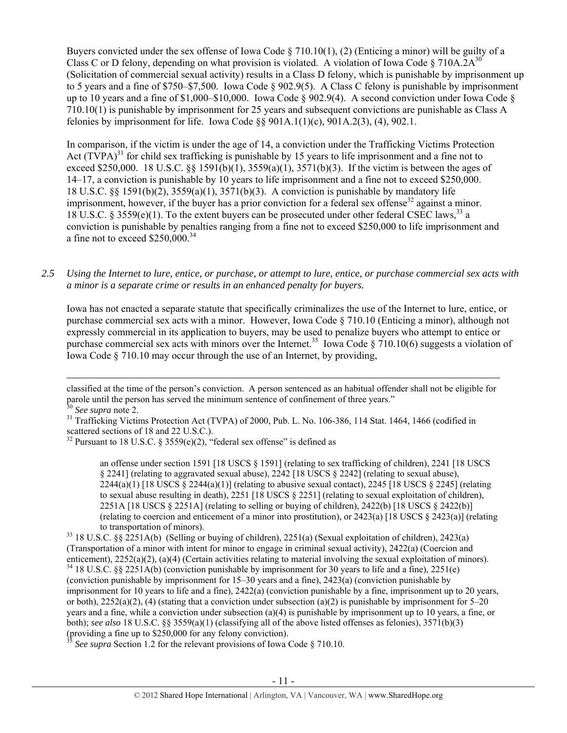Buyers convicted under the sex offense of Iowa Code § 710.10(1), (2) (Enticing a minor) will be guilty of a Class C or D felony, depending on what provision is violated. A violation of Iowa Code § 710A.2A<sup>30</sup> (Solicitation of commercial sexual activity) results in a Class D felony, which is punishable by imprisonment up to 5 years and a fine of \$750–\$7,500. Iowa Code § 902.9(5). A Class C felony is punishable by imprisonment up to 10 years and a fine of \$1,000–\$10,000. Iowa Code § 902.9(4). A second conviction under Iowa Code § 710.10(1) is punishable by imprisonment for 25 years and subsequent convictions are punishable as Class A felonies by imprisonment for life. Iowa Code  $\S$ § 901A.1(1)(c), 901A.2(3), (4), 902.1.

In comparison, if the victim is under the age of 14, a conviction under the Trafficking Victims Protection Act  $(TVPA)^{31}$  for child sex trafficking is punishable by 15 years to life imprisonment and a fine not to exceed \$250,000. 18 U.S.C. §§ 1591(b)(1), 3559(a)(1), 3571(b)(3). If the victim is between the ages of 14–17, a conviction is punishable by 10 years to life imprisonment and a fine not to exceed \$250,000. 18 U.S.C. §§ 1591(b)(2), 3559(a)(1), 3571(b)(3). A conviction is punishable by mandatory life imprisonment, however, if the buyer has a prior conviction for a federal sex offense<sup>32</sup> against a minor. 18 U.S.C. § 3559(e)(1). To the extent buyers can be prosecuted under other federal CSEC laws.<sup>33</sup> a conviction is punishable by penalties ranging from a fine not to exceed \$250,000 to life imprisonment and a fine not to exceed  $$250,000.<sup>34</sup>$ 

## *2.5 Using the Internet to lure, entice, or purchase, or attempt to lure, entice, or purchase commercial sex acts with a minor is a separate crime or results in an enhanced penalty for buyers.*

Iowa has not enacted a separate statute that specifically criminalizes the use of the Internet to lure, entice, or purchase commercial sex acts with a minor. However, Iowa Code § 710.10 (Enticing a minor), although not expressly commercial in its application to buyers, may be used to penalize buyers who attempt to entice or purchase commercial sex acts with minors over the Internet.<sup>35</sup> Iowa Code § 710.10(6) suggests a violation of Iowa Code § 710.10 may occur through the use of an Internet, by providing,

an offense under section 1591 [18 USCS § 1591] (relating to sex trafficking of children), 2241 [18 USCS § 2241] (relating to aggravated sexual abuse), 2242 [18 USCS § 2242] (relating to sexual abuse),  $2244(a)(1)$  [18 USCS § 2244(a)(1)] (relating to abusive sexual contact), 2245 [18 USCS § 2245] (relating to sexual abuse resulting in death), 2251 [18 USCS § 2251] (relating to sexual exploitation of children), 2251A [18 USCS § 2251A] (relating to selling or buying of children), 2422(b) [18 USCS § 2422(b)] (relating to coercion and enticement of a minor into prostitution), or 2423(a) [18 USCS § 2423(a)] (relating

See supra Section 1.2 for the relevant provisions of Iowa Code § 710.10.

classified at the time of the person's conviction. A person sentenced as an habitual offender shall not be eligible for parole until the person has served the minimum sentence of confinement of three years."<br><sup>30</sup> See supra note 2.

<sup>&</sup>lt;sup>31</sup> Trafficking Victims Protection Act (TVPA) of 2000, Pub. L. No. 106-386, 114 Stat. 1464, 1466 (codified in scattered sections of 18 and 22 U.S.C.).

 $32$  Pursuant to 18 U.S.C. § 3559(e)(2), "federal sex offense" is defined as

to transportation of minors).<br><sup>33</sup> 18 U.S.C. §§ 2251A(b) (Selling or buying of children), 2251(a) (Sexual exploitation of children), 2423(a) (Transportation of a minor with intent for minor to engage in criminal sexual activity), 2422(a) (Coercion and enticement), 2252(a)(2), (a)(4) (Certain activities relating to material involving the sexual exploitation of  $^{34}$  18 U.S.C. §§ 2251A(b) (conviction punishable by imprisonment for 30 years to life and a fine), 2251(e) (conviction punishable by imprisonment for 15–30 years and a fine), 2423(a) (conviction punishable by imprisonment for 10 years to life and a fine), 2422(a) (conviction punishable by a fine, imprisonment up to 20 years, or both),  $2252(a)(2)$ , (4) (stating that a conviction under subsection (a)(2) is punishable by imprisonment for 5–20 years and a fine, while a conviction under subsection (a)(4) is punishable by imprisonment up to 10 years, a fine, or both); *see also* 18 U.S.C. §§ 3559(a)(1) (classifying all of the above listed offenses as felonies), 3571(b)(3) (providing a fine up to \$250,000 for any felony conviction).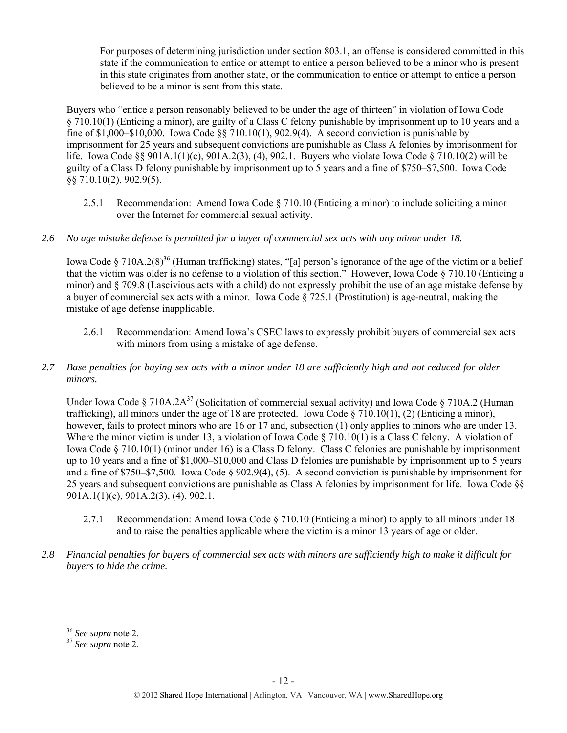For purposes of determining jurisdiction under section 803.1, an offense is considered committed in this state if the communication to entice or attempt to entice a person believed to be a minor who is present in this state originates from another state, or the communication to entice or attempt to entice a person believed to be a minor is sent from this state.

Buyers who "entice a person reasonably believed to be under the age of thirteen" in violation of Iowa Code § 710.10(1) (Enticing a minor), are guilty of a Class C felony punishable by imprisonment up to 10 years and a fine of \$1,000–\$10,000. Iowa Code §§ 710.10(1), 902.9(4). A second conviction is punishable by imprisonment for 25 years and subsequent convictions are punishable as Class A felonies by imprisonment for life. Iowa Code §§ 901A.1(1)(c), 901A.2(3), (4), 902.1. Buyers who violate Iowa Code § 710.10(2) will be guilty of a Class D felony punishable by imprisonment up to 5 years and a fine of \$750–\$7,500. Iowa Code §§ 710.10(2), 902.9(5).

- 2.5.1 Recommendation: Amend Iowa Code § 710.10 (Enticing a minor) to include soliciting a minor over the Internet for commercial sexual activity.
- *2.6 No age mistake defense is permitted for a buyer of commercial sex acts with any minor under 18.*

Iowa Code § 710A.2(8)<sup>36</sup> (Human trafficking) states, "[a] person's ignorance of the age of the victim or a belief that the victim was older is no defense to a violation of this section." However, Iowa Code § 710.10 (Enticing a minor) and § 709.8 (Lascivious acts with a child) do not expressly prohibit the use of an age mistake defense by a buyer of commercial sex acts with a minor. Iowa Code  $\S$  725.1 (Prostitution) is age-neutral, making the mistake of age defense inapplicable.

- 2.6.1 Recommendation: Amend Iowa's CSEC laws to expressly prohibit buyers of commercial sex acts with minors from using a mistake of age defense.
- *2.7 Base penalties for buying sex acts with a minor under 18 are sufficiently high and not reduced for older minors.*

Under Iowa Code § 710A.2A<sup>37</sup> (Solicitation of commercial sexual activity) and Iowa Code § 710A.2 (Human trafficking), all minors under the age of 18 are protected. Iowa Code  $\S 710.10(1)$ , (2) (Enticing a minor), however, fails to protect minors who are 16 or 17 and, subsection (1) only applies to minors who are under 13. Where the minor victim is under 13, a violation of Iowa Code  $\S 710.10(1)$  is a Class C felony. A violation of Iowa Code § 710.10(1) (minor under 16) is a Class D felony. Class C felonies are punishable by imprisonment up to 10 years and a fine of \$1,000–\$10,000 and Class D felonies are punishable by imprisonment up to 5 years and a fine of \$750–\$7,500. Iowa Code § 902.9(4), (5). A second conviction is punishable by imprisonment for 25 years and subsequent convictions are punishable as Class A felonies by imprisonment for life. Iowa Code §§ 901A.1(1)(c), 901A.2(3), (4), 902.1.

- 2.7.1 Recommendation: Amend Iowa Code § 710.10 (Enticing a minor) to apply to all minors under 18 and to raise the penalties applicable where the victim is a minor 13 years of age or older.
- *2.8 Financial penalties for buyers of commercial sex acts with minors are sufficiently high to make it difficult for buyers to hide the crime.*

<sup>&</sup>lt;sup>36</sup> See supra note 2.

<sup>36</sup> *See supra* note 2. 37 *See supra* note 2.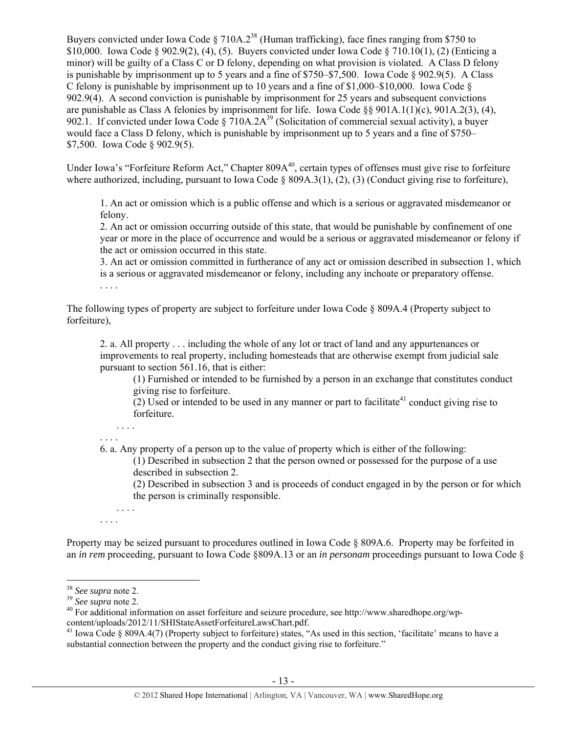Buyers convicted under Iowa Code § 710A.2<sup>38</sup> (Human trafficking), face fines ranging from \$750 to \$10,000. Iowa Code § 902.9(2), (4), (5). Buyers convicted under Iowa Code § 710.10(1), (2) (Enticing a minor) will be guilty of a Class C or D felony, depending on what provision is violated. A Class D felony is punishable by imprisonment up to 5 years and a fine of  $$750–$7,500$ . Iowa Code  $§ 902.9(5)$ . A Class C felony is punishable by imprisonment up to 10 years and a fine of \$1,000–\$10,000. Iowa Code  $\S$ 902.9(4). A second conviction is punishable by imprisonment for 25 years and subsequent convictions are punishable as Class A felonies by imprisonment for life. Iowa Code  $\S$ § 901A.1(1)(c), 901A.2(3), (4), 902.1. If convicted under Iowa Code  $\S$  710A.2A<sup>39</sup> (Solicitation of commercial sexual activity), a buyer would face a Class D felony, which is punishable by imprisonment up to 5 years and a fine of \$750– \$7,500. Iowa Code § 902.9(5).

Under Iowa's "Forfeiture Reform Act," Chapter 809A<sup>40</sup>, certain types of offenses must give rise to forfeiture where authorized, including, pursuant to Iowa Code § 809A.3(1), (2), (3) (Conduct giving rise to forfeiture),

1. An act or omission which is a public offense and which is a serious or aggravated misdemeanor or felony.

2. An act or omission occurring outside of this state, that would be punishable by confinement of one year or more in the place of occurrence and would be a serious or aggravated misdemeanor or felony if the act or omission occurred in this state.

3. An act or omission committed in furtherance of any act or omission described in subsection 1, which is a serious or aggravated misdemeanor or felony, including any inchoate or preparatory offense. . . . .

The following types of property are subject to forfeiture under Iowa Code § 809A.4 (Property subject to forfeiture),

2. a. All property . . . including the whole of any lot or tract of land and any appurtenances or improvements to real property, including homesteads that are otherwise exempt from judicial sale pursuant to section 561.16, that is either:

(1) Furnished or intended to be furnished by a person in an exchange that constitutes conduct giving rise to forfeiture.

 $(2)$  Used or intended to be used in any manner or part to facilitate<sup>41</sup> conduct giving rise to forfeiture.

. . . . . . . .

6. a. Any property of a person up to the value of property which is either of the following:

(1) Described in subsection 2 that the person owned or possessed for the purpose of a use described in subsection 2.

(2) Described in subsection 3 and is proceeds of conduct engaged in by the person or for which the person is criminally responsible.

. . . .

. . . .

Property may be seized pursuant to procedures outlined in Iowa Code § 809A.6. Property may be forfeited in an *in rem* proceeding, pursuant to Iowa Code §809A.13 or an *in personam* proceedings pursuant to Iowa Code §

<sup>&</sup>lt;sup>38</sup> *See supra* note 2.<br><sup>39</sup> *See supra* note 2.<br><sup>40</sup> For additional information on asset forfeiture and seizure procedure, see http://www.sharedhope.org/wp-

content/uploads/2012/11/SHIStateAssetForfeitureLawsChart.pdf.<br><sup>41</sup> Iowa Code § 809A.4(7) (Property subject to forfeiture) states, "As used in this section, 'facilitate' means to have a substantial connection between the property and the conduct giving rise to forfeiture."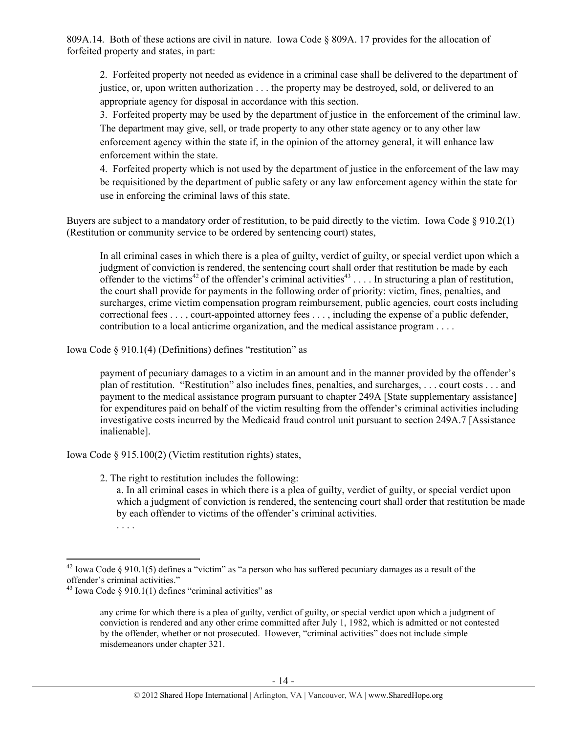809A.14. Both of these actions are civil in nature. Iowa Code § 809A. 17 provides for the allocation of forfeited property and states, in part:

2. Forfeited property not needed as evidence in a criminal case shall be delivered to the department of justice, or, upon written authorization . . . the property may be destroyed, sold, or delivered to an appropriate agency for disposal in accordance with this section.

3. Forfeited property may be used by the department of justice in the enforcement of the criminal law. The department may give, sell, or trade property to any other state agency or to any other law enforcement agency within the state if, in the opinion of the attorney general, it will enhance law enforcement within the state.

4. Forfeited property which is not used by the department of justice in the enforcement of the law may be requisitioned by the department of public safety or any law enforcement agency within the state for use in enforcing the criminal laws of this state.

Buyers are subject to a mandatory order of restitution, to be paid directly to the victim. Iowa Code § 910.2(1) (Restitution or community service to be ordered by sentencing court) states,

In all criminal cases in which there is a plea of guilty, verdict of guilty, or special verdict upon which a judgment of conviction is rendered, the sentencing court shall order that restitution be made by each offender to the victims<sup>42</sup> of the offender's criminal activities<sup>43</sup> . . . . In structuring a plan of restitution, the court shall provide for payments in the following order of priority: victim, fines, penalties, and surcharges, crime victim compensation program reimbursement, public agencies, court costs including correctional fees . . . , court-appointed attorney fees . . . , including the expense of a public defender, contribution to a local anticrime organization, and the medical assistance program . . . .

Iowa Code § 910.1(4) (Definitions) defines "restitution" as

payment of pecuniary damages to a victim in an amount and in the manner provided by the offender's plan of restitution. "Restitution" also includes fines, penalties, and surcharges, . . . court costs . . . and payment to the medical assistance program pursuant to chapter 249A [State supplementary assistance] for expenditures paid on behalf of the victim resulting from the offender's criminal activities including investigative costs incurred by the Medicaid fraud control unit pursuant to section 249A.7 [Assistance inalienable].

Iowa Code § 915.100(2) (Victim restitution rights) states,

2. The right to restitution includes the following:

a. In all criminal cases in which there is a plea of guilty, verdict of guilty, or special verdict upon which a judgment of conviction is rendered, the sentencing court shall order that restitution be made by each offender to victims of the offender's criminal activities.

<sup>. . . .</sup> 

 $42$  Iowa Code § 910.1(5) defines a "victim" as "a person who has suffered pecuniary damages as a result of the offender's criminal activities."

<sup>&</sup>lt;sup>43</sup> Iowa Code § 910.1(1) defines "criminal activities" as

any crime for which there is a plea of guilty, verdict of guilty, or special verdict upon which a judgment of conviction is rendered and any other crime committed after July 1, 1982, which is admitted or not contested by the offender, whether or not prosecuted. However, "criminal activities" does not include simple misdemeanors under chapter 321.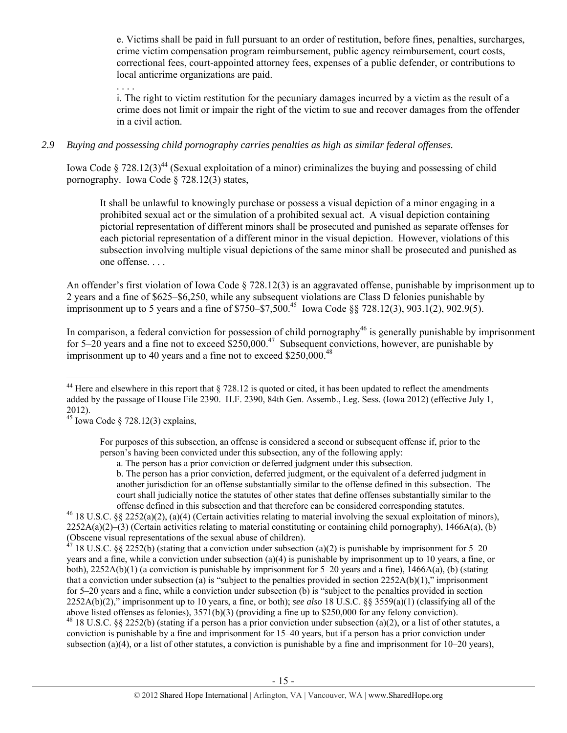e. Victims shall be paid in full pursuant to an order of restitution, before fines, penalties, surcharges, crime victim compensation program reimbursement, public agency reimbursement, court costs, correctional fees, court-appointed attorney fees, expenses of a public defender, or contributions to local anticrime organizations are paid.

. . . .

i. The right to victim restitution for the pecuniary damages incurred by a victim as the result of a crime does not limit or impair the right of the victim to sue and recover damages from the offender in a civil action.

## *2.9 Buying and possessing child pornography carries penalties as high as similar federal offenses.*

Iowa Code § 728.12(3)<sup>44</sup> (Sexual exploitation of a minor) criminalizes the buying and possessing of child pornography. Iowa Code § 728.12(3) states,

It shall be unlawful to knowingly purchase or possess a visual depiction of a minor engaging in a prohibited sexual act or the simulation of a prohibited sexual act. A visual depiction containing pictorial representation of different minors shall be prosecuted and punished as separate offenses for each pictorial representation of a different minor in the visual depiction. However, violations of this subsection involving multiple visual depictions of the same minor shall be prosecuted and punished as one offense.

An offender's first violation of Iowa Code § 728.12(3) is an aggravated offense, punishable by imprisonment up to 2 years and a fine of \$625–\$6,250, while any subsequent violations are Class D felonies punishable by imprisonment up to 5 years and a fine of  $$750–$7,500<sup>45</sup>$  Iowa Code §§ 728.12(3), 903.1(2), 902.9(5).

In comparison, a federal conviction for possession of child pornography<sup>46</sup> is generally punishable by imprisonment for 5–20 years and a fine not to exceed  $$250,000.<sup>47</sup>$  Subsequent convictions, however, are punishable by imprisonment up to 40 years and a fine not to exceed  $$250,000.<sup>48</sup>$ 

offense defined in this subsection and that therefore can be considered corresponding statutes.  $46$  18 U.S.C. §§ 2252(a)(2), (a)(4) (Certain activities relating to material involving the sexual exploitation of minors),  $2252A(a)(2)$ –(3) (Certain activities relating to material constituting or containing child pornography), 1466A(a), (b) (Obscene visual representations of the sexual abuse of children).<br><sup>47</sup> 18 JJ S C 83 2253 N 40 JJ

<sup>7</sup> 18 U.S.C. §§ 2252(b) (stating that a conviction under subsection (a)(2) is punishable by imprisonment for 5–20 years and a fine, while a conviction under subsection (a)(4) is punishable by imprisonment up to 10 years, a fine, or both),  $2252A(b)(1)$  (a conviction is punishable by imprisonment for 5–20 years and a fine),  $1466A(a)$ , (b) (stating that a conviction under subsection (a) is "subject to the penalties provided in section  $2252A(b)(1)$ ," imprisonment for 5–20 years and a fine, while a conviction under subsection (b) is "subject to the penalties provided in section 2252A(b)(2)," imprisonment up to 10 years, a fine, or both); *see also* 18 U.S.C. §§ 3559(a)(1) (classifying all of the above listed offenses as felonies), 3571(b)(3) (providing a fine up to \$250,000 for any felony conviction). <sup>48</sup> 18 U.S.C. §§ 2252(b) (stating if a person has a prior conviction under subsection (a)(2), or a list of other statutes, a conviction is punishable by a fine and imprisonment for 15–40 years, but if a person has a prior conviction under subsection (a)(4), or a list of other statutes, a conviction is punishable by a fine and imprisonment for  $10-20$  years),

 $\overline{a}$  $44$  Here and elsewhere in this report that § 728.12 is quoted or cited, it has been updated to reflect the amendments added by the passage of House File 2390. H.F. 2390, 84th Gen. Assemb., Leg. Sess. (Iowa 2012) (effective July 1, 2012).

 $^{45}$  Iowa Code § 728.12(3) explains,

For purposes of this subsection, an offense is considered a second or subsequent offense if, prior to the person's having been convicted under this subsection, any of the following apply:

a. The person has a prior conviction or deferred judgment under this subsection.

b. The person has a prior conviction, deferred judgment, or the equivalent of a deferred judgment in another jurisdiction for an offense substantially similar to the offense defined in this subsection. The court shall judicially notice the statutes of other states that define offenses substantially similar to the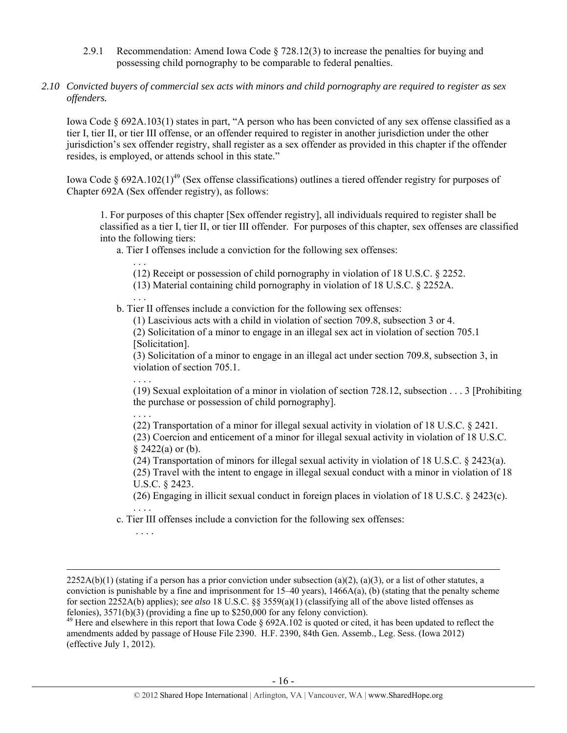- 2.9.1 Recommendation: Amend Iowa Code § 728.12(3) to increase the penalties for buying and possessing child pornography to be comparable to federal penalties.
- *2.10 Convicted buyers of commercial sex acts with minors and child pornography are required to register as sex offenders.*

Iowa Code § 692A.103(1) states in part, "A person who has been convicted of any sex offense classified as a tier I, tier II, or tier III offense, or an offender required to register in another jurisdiction under the other jurisdiction's sex offender registry, shall register as a sex offender as provided in this chapter if the offender resides, is employed, or attends school in this state."

Iowa Code § 692A.102(1)<sup>49</sup> (Sex offense classifications) outlines a tiered offender registry for purposes of Chapter 692A (Sex offender registry), as follows:

1. For purposes of this chapter [Sex offender registry], all individuals required to register shall be classified as a tier I, tier II, or tier III offender. For purposes of this chapter, sex offenses are classified into the following tiers:

a. Tier I offenses include a conviction for the following sex offenses:

. . . (12) Receipt or possession of child pornography in violation of 18 U.S.C. § 2252.

(13) Material containing child pornography in violation of 18 U.S.C. § 2252A.

. . . b. Tier II offenses include a conviction for the following sex offenses:

(1) Lascivious acts with a child in violation of section 709.8, subsection 3 or 4.

(2) Solicitation of a minor to engage in an illegal sex act in violation of section 705.1 [Solicitation].

(3) Solicitation of a minor to engage in an illegal act under section 709.8, subsection 3, in violation of section 705.1.

. . . . (19) Sexual exploitation of a minor in violation of section 728.12, subsection . . . 3 [Prohibiting the purchase or possession of child pornography].

. . . .

. . . .

(22) Transportation of a minor for illegal sexual activity in violation of 18 U.S.C. § 2421.

(23) Coercion and enticement of a minor for illegal sexual activity in violation of 18 U.S.C. § 2422(a) or (b).

(24) Transportation of minors for illegal sexual activity in violation of 18 U.S.C. § 2423(a).

(25) Travel with the intent to engage in illegal sexual conduct with a minor in violation of 18 U.S.C. § 2423.

(26) Engaging in illicit sexual conduct in foreign places in violation of 18 U.S.C. § 2423(c).

. . . . c. Tier III offenses include a conviction for the following sex offenses:

 $2252A(b)(1)$  (stating if a person has a prior conviction under subsection (a)(2), (a)(3), or a list of other statutes, a conviction is punishable by a fine and imprisonment for  $15-40$  years),  $1466A(a)$ , (b) (stating that the penalty scheme for section 2252A(b) applies); *see also* 18 U.S.C. §§ 3559(a)(1) (classifying all of the above listed offenses as felonies), 3571(b)(3) (providing a fine up to \$250,000 for any felony conviction).

<sup>&</sup>lt;sup>49</sup> Here and elsewhere in this report that Iowa Code  $\S$  692A.102 is quoted or cited, it has been updated to reflect the amendments added by passage of House File 2390. H.F. 2390, 84th Gen. Assemb., Leg. Sess. (Iowa 2012) (effective July 1, 2012).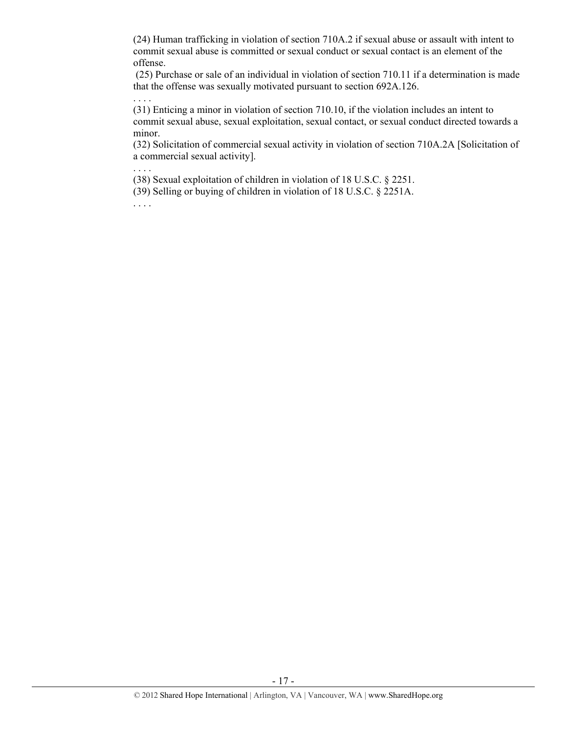(24) Human trafficking in violation of section 710A.2 if sexual abuse or assault with intent to commit sexual abuse is committed or sexual conduct or sexual contact is an element of the offense.

 (25) Purchase or sale of an individual in violation of section 710.11 if a determination is made that the offense was sexually motivated pursuant to section 692A.126.

(31) Enticing a minor in violation of section 710.10, if the violation includes an intent to commit sexual abuse, sexual exploitation, sexual contact, or sexual conduct directed towards a minor.

(32) Solicitation of commercial sexual activity in violation of section 710A.2A [Solicitation of a commercial sexual activity].

(38) Sexual exploitation of children in violation of 18 U.S.C. § 2251.

(39) Selling or buying of children in violation of 18 U.S.C. § 2251A.

. . . .

. . . .

. . . .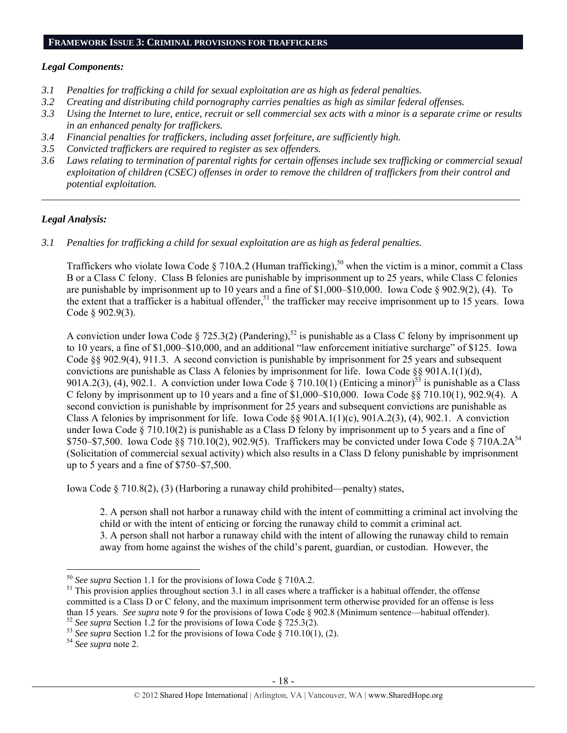## *Legal Components:*

- *3.1 Penalties for trafficking a child for sexual exploitation are as high as federal penalties.*
- *3.2 Creating and distributing child pornography carries penalties as high as similar federal offenses.*
- *3.3 Using the Internet to lure, entice, recruit or sell commercial sex acts with a minor is a separate crime or results in an enhanced penalty for traffickers.*
- *3.4 Financial penalties for traffickers, including asset forfeiture, are sufficiently high.*
- *3.5 Convicted traffickers are required to register as sex offenders.*
- *3.6 Laws relating to termination of parental rights for certain offenses include sex trafficking or commercial sexual exploitation of children (CSEC) offenses in order to remove the children of traffickers from their control and potential exploitation.*

*\_\_\_\_\_\_\_\_\_\_\_\_\_\_\_\_\_\_\_\_\_\_\_\_\_\_\_\_\_\_\_\_\_\_\_\_\_\_\_\_\_\_\_\_\_\_\_\_\_\_\_\_\_\_\_\_\_\_\_\_\_\_\_\_\_\_\_\_\_\_\_\_\_\_\_\_\_\_\_\_\_\_\_\_\_\_\_\_\_\_\_\_\_\_* 

## *Legal Analysis:*

*3.1 Penalties for trafficking a child for sexual exploitation are as high as federal penalties.* 

Traffickers who violate Iowa Code § 710A.2 (Human trafficking),<sup>50</sup> when the victim is a minor, commit a Class B or a Class C felony. Class B felonies are punishable by imprisonment up to 25 years, while Class C felonies are punishable by imprisonment up to 10 years and a fine of \$1,000–\$10,000. Iowa Code § 902.9(2), (4). To the extent that a trafficker is a habitual offender,<sup>51</sup> the trafficker may receive imprisonment up to  $15$  years. Iowa Code § 902.9(3).

A conviction under Iowa Code § 725.3(2) (Pandering),<sup>52</sup> is punishable as a Class C felony by imprisonment up to 10 years, a fine of \$1,000–\$10,000, and an additional "law enforcement initiative surcharge" of \$125. Iowa Code §§ 902.9(4), 911.3. A second conviction is punishable by imprisonment for 25 years and subsequent convictions are punishable as Class A felonies by imprisonment for life. Iowa Code §§ 901A.1(1)(d), 901A.2(3), (4), 902.1. A conviction under Iowa Code § 710.10(1) (Enticing a minor)<sup>53</sup> is punishable as a Class C felony by imprisonment up to 10 years and a fine of  $$1,000–$10,000$ . Iowa Code  $§$ § 710.10(1), 902.9(4). A second conviction is punishable by imprisonment for 25 years and subsequent convictions are punishable as Class A felonies by imprisonment for life. Iowa Code §§  $901A.1(1)(c)$ ,  $901A.2(3)$ , (4),  $902.1$ . A conviction under Iowa Code § 710.10(2) is punishable as a Class D felony by imprisonment up to 5 years and a fine of \$750–\$7,500. Iowa Code §§ 710.10(2), 902.9(5). Traffickers may be convicted under Iowa Code § 710A.2A<sup>54</sup> (Solicitation of commercial sexual activity) which also results in a Class D felony punishable by imprisonment up to 5 years and a fine of \$750–\$7,500.

Iowa Code § 710.8(2), (3) (Harboring a runaway child prohibited—penalty) states,

2. A person shall not harbor a runaway child with the intent of committing a criminal act involving the child or with the intent of enticing or forcing the runaway child to commit a criminal act. 3. A person shall not harbor a runaway child with the intent of allowing the runaway child to remain away from home against the wishes of the child's parent, guardian, or custodian. However, the

<sup>&</sup>lt;sup>50</sup> See supra Section 1.1 for the provisions of Iowa Code § 710A.2.

<sup>&</sup>lt;sup>51</sup> This provision applies throughout section 3.1 in all cases where a trafficker is a habitual offender, the offense committed is a Class D or C felony, and the maximum imprisonment term otherwise provided for an offense is less than 15 years. *See supra* note 9 for the provisions of Iowa Code § 902.8 (Minimum sentence—habitual offender).<br><sup>52</sup> See supra Section 1.2 for the provisions of Iowa Code § 725.3(2).<br><sup>53</sup> See supra Section 1.2 for the pro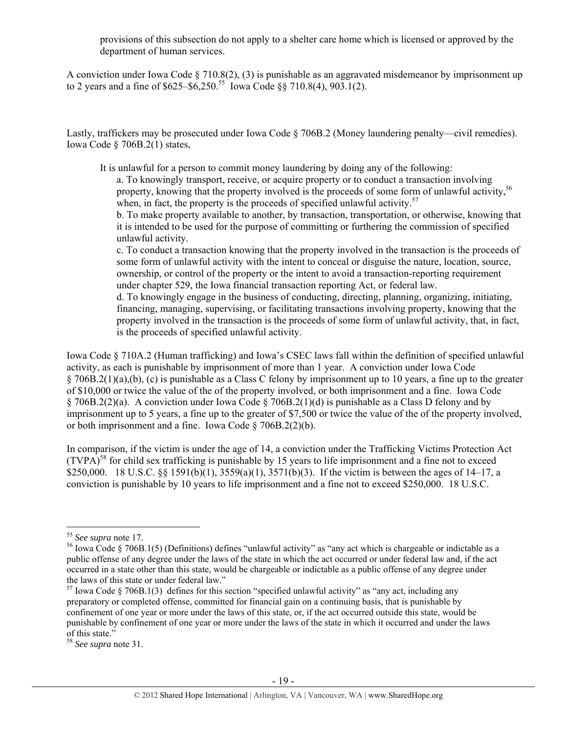provisions of this subsection do not apply to a shelter care home which is licensed or approved by the department of human services.

A conviction under Iowa Code § 710.8(2), (3) is punishable as an aggravated misdemeanor by imprisonment up to 2 years and a fine of  $$625–$6,250.<sup>55</sup>$  Iowa Code §§ 710.8(4), 903.1(2).

Lastly, traffickers may be prosecuted under Iowa Code § 706B.2 (Money laundering penalty—civil remedies). Iowa Code § 706B.2(1) states,

It is unlawful for a person to commit money laundering by doing any of the following: a. To knowingly transport, receive, or acquire property or to conduct a transaction involving property, knowing that the property involved is the proceeds of some form of unlawful activity.<sup>56</sup>

when, in fact, the property is the proceeds of specified unlawful activity.<sup>57</sup>

b. To make property available to another, by transaction, transportation, or otherwise, knowing that it is intended to be used for the purpose of committing or furthering the commission of specified unlawful activity.

c. To conduct a transaction knowing that the property involved in the transaction is the proceeds of some form of unlawful activity with the intent to conceal or disguise the nature, location, source, ownership, or control of the property or the intent to avoid a transaction-reporting requirement under chapter 529, the Iowa financial transaction reporting Act, or federal law.

d. To knowingly engage in the business of conducting, directing, planning, organizing, initiating, financing, managing, supervising, or facilitating transactions involving property, knowing that the property involved in the transaction is the proceeds of some form of unlawful activity, that, in fact, is the proceeds of specified unlawful activity.

Iowa Code § 710A.2 (Human trafficking) and Iowa's CSEC laws fall within the definition of specified unlawful activity, as each is punishable by imprisonment of more than 1 year. A conviction under Iowa Code § 706B.2(1)(a),(b), (c) is punishable as a Class C felony by imprisonment up to 10 years, a fine up to the greater of \$10,000 or twice the value of the of the property involved, or both imprisonment and a fine. Iowa Code § 706B.2(2)(a). A conviction under Iowa Code § 706B.2(1)(d) is punishable as a Class D felony and by imprisonment up to 5 years, a fine up to the greater of \$7,500 or twice the value of the of the property involved, or both imprisonment and a fine. Iowa Code § 706B.2(2)(b).

In comparison, if the victim is under the age of 14, a conviction under the Trafficking Victims Protection Act  $(TVPA)<sup>58</sup>$  for child sex trafficking is punishable by 15 years to life imprisonment and a fine not to exceed \$250,000. 18 U.S.C. §§ 1591(b)(1), 3559(a)(1), 3571(b)(3). If the victim is between the ages of 14–17, a conviction is punishable by 10 years to life imprisonment and a fine not to exceed \$250,000. 18 U.S.C.

 $55$  See supra note 17.

<sup>&</sup>lt;sup>56</sup> Iowa Code § 706B.1(5) (Definitions) defines "unlawful activity" as "any act which is chargeable or indictable as a public offense of any degree under the laws of the state in which the act occurred or under federal law and, if the act occurred in a state other than this state, would be chargeable or indictable as a public offense of any degree under the laws of this state or under federal law."

 $57$  Iowa Code § 706B.1(3) defines for this section "specified unlawful activity" as "any act, including any preparatory or completed offense, committed for financial gain on a continuing basis, that is punishable by confinement of one year or more under the laws of this state, or, if the act occurred outside this state, would be punishable by confinement of one year or more under the laws of the state in which it occurred and under the laws of this state."

<sup>58</sup> *See supra* note 31.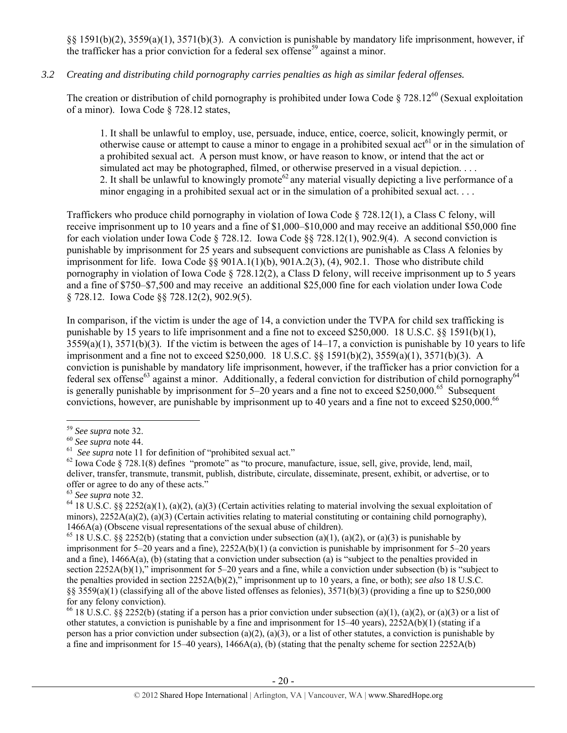§§ 1591(b)(2), 3559(a)(1), 3571(b)(3). A conviction is punishable by mandatory life imprisonment, however, if the trafficker has a prior conviction for a federal sex offense<sup>59</sup> against a minor.

## *3.2 Creating and distributing child pornography carries penalties as high as similar federal offenses.*

The creation or distribution of child pornography is prohibited under Iowa Code  $\S 728.12^{60}$  (Sexual exploitation of a minor). Iowa Code § 728.12 states,

1. It shall be unlawful to employ, use, persuade, induce, entice, coerce, solicit, knowingly permit, or otherwise cause or attempt to cause a minor to engage in a prohibited sexual  $\arctan 61$  or in the simulation of a prohibited sexual act. A person must know, or have reason to know, or intend that the act or simulated act may be photographed, filmed, or otherwise preserved in a visual depiction. . . . 2. It shall be unlawful to knowingly promote<sup>62</sup> any material visually depicting a live performance of a minor engaging in a prohibited sexual act or in the simulation of a prohibited sexual act. . . .

Traffickers who produce child pornography in violation of Iowa Code § 728.12(1), a Class C felony, will receive imprisonment up to 10 years and a fine of \$1,000–\$10,000 and may receive an additional \$50,000 fine for each violation under Iowa Code § 728.12. Iowa Code §§ 728.12(1), 902.9(4). A second conviction is punishable by imprisonment for 25 years and subsequent convictions are punishable as Class A felonies by imprisonment for life. Iowa Code  $\S$ § 901A.1(1)(b), 901A.2(3), (4), 902.1. Those who distribute child pornography in violation of Iowa Code § 728.12(2), a Class D felony, will receive imprisonment up to 5 years and a fine of \$750–\$7,500 and may receive an additional \$25,000 fine for each violation under Iowa Code § 728.12. Iowa Code §§ 728.12(2), 902.9(5).

In comparison, if the victim is under the age of 14, a conviction under the TVPA for child sex trafficking is punishable by 15 years to life imprisonment and a fine not to exceed \$250,000. 18 U.S.C. §§ 1591(b)(1),  $3559(a)(1)$ ,  $3571(b)(3)$ . If the victim is between the ages of  $14-17$ , a conviction is punishable by 10 years to life imprisonment and a fine not to exceed \$250,000. 18 U.S.C. §§ 1591(b)(2), 3559(a)(1), 3571(b)(3). A conviction is punishable by mandatory life imprisonment, however, if the trafficker has a prior conviction for a federal sex offense<sup>63</sup> against a minor. Additionally, a federal conviction for distribution of child pornography<sup>64</sup> is generally punishable by imprisonment for  $5-20$  years and a fine not to exceed \$250,000.<sup>65</sup> Subsequent convictions, however, are punishable by imprisonment up to 40 years and a fine not to exceed \$250,000.<sup>66</sup>

 $\overline{a}$ 

<sup>66</sup> 18 U.S.C. §§ 2252(b) (stating if a person has a prior conviction under subsection (a)(1), (a)(2), or (a)(3) or a list of other statutes, a conviction is punishable by a fine and imprisonment for 15–40 years), 2252A(b)(1) (stating if a person has a prior conviction under subsection (a)(2), (a)(3), or a list of other statutes, a conviction is punishable by a fine and imprisonment for 15–40 years),  $1466A(a)$ , (b) (stating that the penalty scheme for section 2252A(b)

<sup>&</sup>lt;sup>59</sup> See supra note 32.<br>
<sup>60</sup> See supra note 44.<br>
<sup>61</sup> See supra note 11 for definition of "prohibited sexual act."<br>
<sup>61</sup> See supra note 11 for definition of "prohibited sexual act."<br>
<sup>62</sup> Iowa Code § 728.1(8) defines "pr deliver, transfer, transmute, transmit, publish, distribute, circulate, disseminate, present, exhibit, or advertise, or to % offer or agree to do any of these acts."<br>  $63 \text{ See sumra}$  note 32.

<sup>&</sup>lt;sup>64</sup> 18 U.S.C. §§ 2252(a)(1), (a)(2), (a)(3) (Certain activities relating to material involving the sexual exploitation of minors), 2252A(a)(2), (a)(3) (Certain activities relating to material constituting or containing child pornography), 1466A(a) (Obscene visual representations of the sexual abuse of children).

<sup>&</sup>lt;sup>65</sup> 18 U.S.C. §§ 2252(b) (stating that a conviction under subsection (a)(1), (a)(2), or (a)(3) is punishable by imprisonment for 5–20 years and a fine), 2252A(b)(1) (a conviction is punishable by imprisonment for 5–20 years and a fine), 1466A(a), (b) (stating that a conviction under subsection (a) is "subject to the penalties provided in section 2252A(b)(1)," imprisonment for 5–20 years and a fine, while a conviction under subsection (b) is "subject to the penalties provided in section 2252A(b)(2)," imprisonment up to 10 years, a fine, or both); *see also* 18 U.S.C. §§  $3559(a)(1)$  (classifying all of the above listed offenses as felonies),  $3571(b)(3)$  (providing a fine up to \$250,000 for any felony conviction).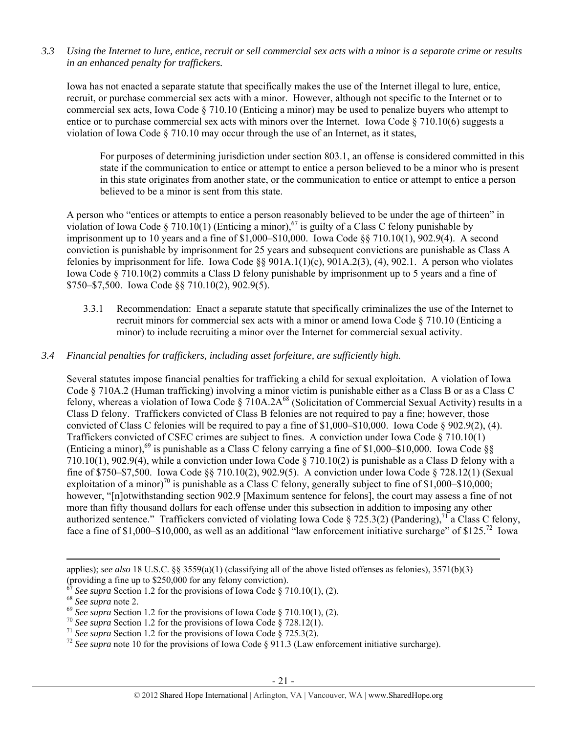*3.3 Using the Internet to lure, entice, recruit or sell commercial sex acts with a minor is a separate crime or results in an enhanced penalty for traffickers.* 

Iowa has not enacted a separate statute that specifically makes the use of the Internet illegal to lure, entice, recruit, or purchase commercial sex acts with a minor. However, although not specific to the Internet or to commercial sex acts, Iowa Code § 710.10 (Enticing a minor) may be used to penalize buyers who attempt to entice or to purchase commercial sex acts with minors over the Internet. Iowa Code § 710.10(6) suggests a violation of Iowa Code § 710.10 may occur through the use of an Internet, as it states,

For purposes of determining jurisdiction under section 803.1, an offense is considered committed in this state if the communication to entice or attempt to entice a person believed to be a minor who is present in this state originates from another state, or the communication to entice or attempt to entice a person believed to be a minor is sent from this state.

A person who "entices or attempts to entice a person reasonably believed to be under the age of thirteen" in violation of Iowa Code § 710.10(1) (Enticing a minor),<sup>67</sup> is guilty of a Class C felony punishable by imprisonment up to 10 years and a fine of \$1,000–\$10,000. Iowa Code §§ 710.10(1), 902.9(4). A second conviction is punishable by imprisonment for 25 years and subsequent convictions are punishable as Class A felonies by imprisonment for life. Iowa Code §§  $901A.1(1)(c)$ ,  $901A.2(3)$ , (4),  $902.1$ . A person who violates Iowa Code § 710.10(2) commits a Class D felony punishable by imprisonment up to 5 years and a fine of \$750–\$7,500. Iowa Code §§ 710.10(2), 902.9(5).

3.3.1 Recommendation: Enact a separate statute that specifically criminalizes the use of the Internet to recruit minors for commercial sex acts with a minor or amend Iowa Code § 710.10 (Enticing a minor) to include recruiting a minor over the Internet for commercial sexual activity.

## *3.4 Financial penalties for traffickers, including asset forfeiture, are sufficiently high.*

Several statutes impose financial penalties for trafficking a child for sexual exploitation. A violation of Iowa Code § 710A.2 (Human trafficking) involving a minor victim is punishable either as a Class B or as a Class C felony, whereas a violation of Iowa Code § 710A.2A<sup>68</sup> (Solicitation of Commercial Sexual Activity) results in a Class D felony. Traffickers convicted of Class B felonies are not required to pay a fine; however, those convicted of Class C felonies will be required to pay a fine of  $$1,000–$10,000$ . Iowa Code  $$902.9(2), (4)$ . Traffickers convicted of CSEC crimes are subject to fines. A conviction under Iowa Code § 710.10(1) (Enticing a minor),<sup>69</sup> is punishable as a Class C felony carrying a fine of \$1,000–\$10,000. Iowa Code  $\S$ 710.10(1), 902.9(4), while a conviction under Iowa Code § 710.10(2) is punishable as a Class D felony with a fine of \$750–\$7,500. Iowa Code §§ 710.10(2), 902.9(5). A conviction under Iowa Code § 728.12(1) (Sexual exploitation of a minor)<sup>70</sup> is punishable as a Class C felony, generally subject to fine of \$1,000–\$10,000; however, "[n]otwithstanding section 902.9 [Maximum sentence for felons], the court may assess a fine of not more than fifty thousand dollars for each offense under this subsection in addition to imposing any other authorized sentence." Traffickers convicted of violating Iowa Code § 725.3(2) (Pandering),  $71$  a Class C felony, face a fine of \$1,000–\$10,000, as well as an additional "law enforcement initiative surcharge" of \$125.<sup>72</sup> Iowa

applies); *see also* 18 U.S.C. §§ 3559(a)(1) (classifying all of the above listed offenses as felonies), 3571(b)(3)

<sup>(</sup>providing a fine up to \$250,000 for any felony conviction).<br>
<sup>67</sup> See supra Section 1.2 for the provisions of Iowa Code § 710.10(1), (2).

<sup>&</sup>lt;sup>68</sup> See supra note 2.<br>
<sup>69</sup> See supra Section 1.2 for the provisions of Iowa Code § 710.10(1), (2).<br>
<sup>70</sup> See supra Section 1.2 for the provisions of Iowa Code § 728.12(1).<br>
<sup>71</sup> See supra Section 1.2 for the provisions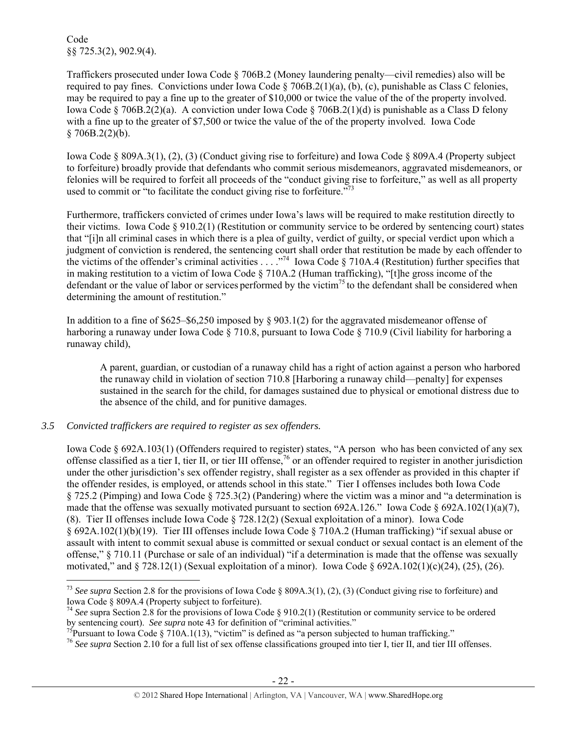Code §§ 725.3(2), 902.9(4).

Traffickers prosecuted under Iowa Code § 706B.2 (Money laundering penalty—civil remedies) also will be required to pay fines. Convictions under Iowa Code § 706B.2(1)(a), (b), (c), punishable as Class C felonies, may be required to pay a fine up to the greater of \$10,000 or twice the value of the of the property involved. Iowa Code § 706B.2(2)(a). A conviction under Iowa Code § 706B.2(1)(d) is punishable as a Class D felony with a fine up to the greater of \$7,500 or twice the value of the of the property involved. Iowa Code  $§ 706B.2(2)(b).$ 

Iowa Code § 809A.3(1), (2), (3) (Conduct giving rise to forfeiture) and Iowa Code § 809A.4 (Property subject to forfeiture) broadly provide that defendants who commit serious misdemeanors, aggravated misdemeanors, or felonies will be required to forfeit all proceeds of the "conduct giving rise to forfeiture," as well as all property used to commit or "to facilitate the conduct giving rise to forfeiture."<sup>73</sup>

Furthermore, traffickers convicted of crimes under Iowa's laws will be required to make restitution directly to their victims. Iowa Code § 910.2(1) (Restitution or community service to be ordered by sentencing court) states that "[i]n all criminal cases in which there is a plea of guilty, verdict of guilty, or special verdict upon which a judgment of conviction is rendered, the sentencing court shall order that restitution be made by each offender to the victims of the offender's criminal activities  $\ldots$  ."<sup>74</sup> Iowa Code § 710A.4 (Restitution) further specifies that in making restitution to a victim of Iowa Code § 710A.2 (Human trafficking), "[t]he gross income of the defendant or the value of labor or services performed by the victim<sup>75</sup> to the defendant shall be considered when determining the amount of restitution."

In addition to a fine of \$625–\$6,250 imposed by § 903.1(2) for the aggravated misdemeanor offense of harboring a runaway under Iowa Code § 710.8, pursuant to Iowa Code § 710.9 (Civil liability for harboring a runaway child),

A parent, guardian, or custodian of a runaway child has a right of action against a person who harbored the runaway child in violation of section 710.8 [Harboring a runaway child—penalty] for expenses sustained in the search for the child, for damages sustained due to physical or emotional distress due to the absence of the child, and for punitive damages.

# *3.5 Convicted traffickers are required to register as sex offenders.*

 $\overline{a}$ 

Iowa Code § 692A.103(1) (Offenders required to register) states, "A person who has been convicted of any sex offense classified as a tier I, tier II, or tier III offense,<sup>76</sup> or an offender required to register in another jurisdiction under the other jurisdiction's sex offender registry, shall register as a sex offender as provided in this chapter if the offender resides, is employed, or attends school in this state." Tier I offenses includes both Iowa Code § 725.2 (Pimping) and Iowa Code § 725.3(2) (Pandering) where the victim was a minor and "a determination is made that the offense was sexually motivated pursuant to section 692A.126." Iowa Code § 692A.102(1)(a)(7), (8). Tier II offenses include Iowa Code § 728.12(2) (Sexual exploitation of a minor). Iowa Code § 692A.102(1)(b)(19). Tier III offenses include Iowa Code § 710A.2 (Human trafficking) "if sexual abuse or assault with intent to commit sexual abuse is committed or sexual conduct or sexual contact is an element of the offense," § 710.11 (Purchase or sale of an individual) "if a determination is made that the offense was sexually motivated," and  $\S$  728.12(1) (Sexual exploitation of a minor). Iowa Code  $\S$  692A.102(1)(c)(24), (25), (26).

<sup>&</sup>lt;sup>73</sup> See supra Section 2.8 for the provisions of Iowa Code § 809A.3(1), (2), (3) (Conduct giving rise to forfeiture) and Iowa Code § 809A.4 (Property subject to forfeiture).

<sup>74</sup> *See* supra Section 2.8 for the provisions of Iowa Code § 910.2(1) (Restitution or community service to be ordered by sentencing court). *See supra* note 43 for definition of "criminal activities."<br><sup>75</sup>Pursuant to Iowa Code § 710A.1(13), "victim" is defined as "a person subjected to human trafficking."

<sup>76</sup> *See supra* Section 2.10 for a full list of sex offense classifications grouped into tier I, tier II, and tier III offenses.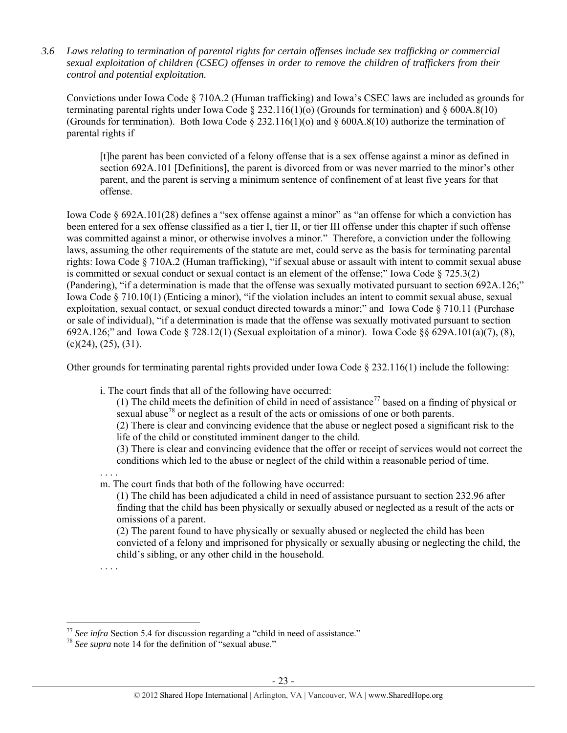*3.6 Laws relating to termination of parental rights for certain offenses include sex trafficking or commercial sexual exploitation of children (CSEC) offenses in order to remove the children of traffickers from their control and potential exploitation.* 

Convictions under Iowa Code § 710A.2 (Human trafficking) and Iowa's CSEC laws are included as grounds for terminating parental rights under Iowa Code § 232.116(1)(o) (Grounds for termination) and § 600A.8(10) (Grounds for termination). Both Iowa Code § 232.116(1)(o) and § 600A.8(10) authorize the termination of parental rights if

[t]he parent has been convicted of a felony offense that is a sex offense against a minor as defined in section 692A.101 [Definitions], the parent is divorced from or was never married to the minor's other parent, and the parent is serving a minimum sentence of confinement of at least five years for that offense.

Iowa Code § 692A.101(28) defines a "sex offense against a minor" as "an offense for which a conviction has been entered for a sex offense classified as a tier I, tier II, or tier III offense under this chapter if such offense was committed against a minor, or otherwise involves a minor." Therefore, a conviction under the following laws, assuming the other requirements of the statute are met, could serve as the basis for terminating parental rights: Iowa Code § 710A.2 (Human trafficking), "if sexual abuse or assault with intent to commit sexual abuse is committed or sexual conduct or sexual contact is an element of the offense;" Iowa Code § 725.3(2) (Pandering), "if a determination is made that the offense was sexually motivated pursuant to section 692A.126;" Iowa Code § 710.10(1) (Enticing a minor), "if the violation includes an intent to commit sexual abuse, sexual exploitation, sexual contact, or sexual conduct directed towards a minor;" and Iowa Code § 710.11 (Purchase or sale of individual), "if a determination is made that the offense was sexually motivated pursuant to section 692A.126;" and Iowa Code § 728.12(1) (Sexual exploitation of a minor). Iowa Code §§ 629A.101(a)(7), (8),  $(c)(24)$ ,  $(25)$ ,  $(31)$ .

Other grounds for terminating parental rights provided under Iowa Code  $\S$  232.116(1) include the following:

i. The court finds that all of the following have occurred:

(1) The child meets the definition of child in need of assistance<sup>77</sup> based on a finding of physical or sexual abuse<sup>78</sup> or neglect as a result of the acts or omissions of one or both parents.

(2) There is clear and convincing evidence that the abuse or neglect posed a significant risk to the life of the child or constituted imminent danger to the child.

(3) There is clear and convincing evidence that the offer or receipt of services would not correct the conditions which led to the abuse or neglect of the child within a reasonable period of time.

. . . . m. The court finds that both of the following have occurred:

(1) The child has been adjudicated a child in need of assistance pursuant to section 232.96 after finding that the child has been physically or sexually abused or neglected as a result of the acts or omissions of a parent.

(2) The parent found to have physically or sexually abused or neglected the child has been convicted of a felony and imprisoned for physically or sexually abusing or neglecting the child, the child's sibling, or any other child in the household.

. . . .

<sup>&</sup>lt;sup>77</sup> *See infra* Section 5.4 for discussion regarding a "child in need of assistance." <sup>78</sup> *See supra* note 14 for the definition of "sexual abuse."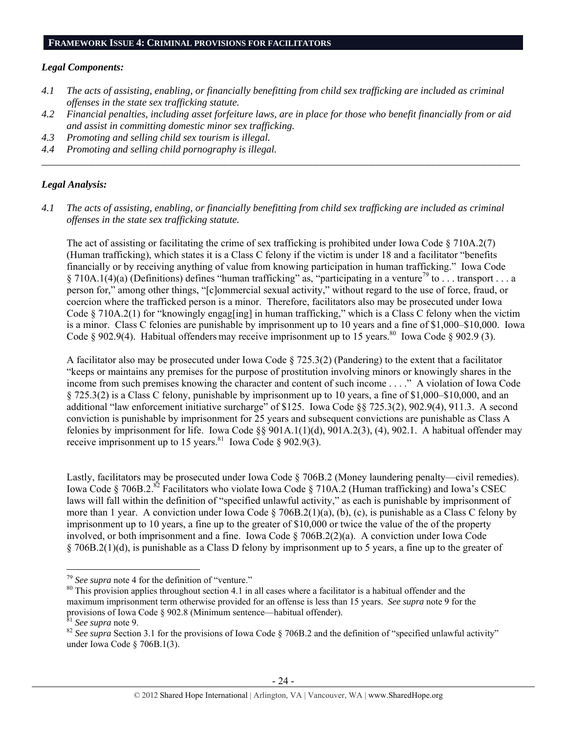#### *Legal Components:*

- *4.1 The acts of assisting, enabling, or financially benefitting from child sex trafficking are included as criminal offenses in the state sex trafficking statute.*
- *4.2 Financial penalties, including asset forfeiture laws, are in place for those who benefit financially from or aid and assist in committing domestic minor sex trafficking.*

*\_\_\_\_\_\_\_\_\_\_\_\_\_\_\_\_\_\_\_\_\_\_\_\_\_\_\_\_\_\_\_\_\_\_\_\_\_\_\_\_\_\_\_\_\_\_\_\_\_\_\_\_\_\_\_\_\_\_\_\_\_\_\_\_\_\_\_\_\_\_\_\_\_\_\_\_\_\_\_\_\_\_\_\_\_\_\_\_\_\_\_\_\_\_* 

- *4.3 Promoting and selling child sex tourism is illegal.*
- *4.4 Promoting and selling child pornography is illegal.*

## *Legal Analysis:*

*4.1 The acts of assisting, enabling, or financially benefitting from child sex trafficking are included as criminal offenses in the state sex trafficking statute.* 

The act of assisting or facilitating the crime of sex trafficking is prohibited under Iowa Code  $\S 710A.2(7)$ (Human trafficking), which states it is a Class C felony if the victim is under 18 and a facilitator "benefits financially or by receiving anything of value from knowing participation in human trafficking." Iowa Code § 710A.1(4)(a) (Definitions) defines "human trafficking" as, "participating in a venture<sup>79</sup> to . . . transport . . . a person for," among other things, "[c]ommercial sexual activity," without regard to the use of force, fraud, or coercion where the trafficked person is a minor. Therefore, facilitators also may be prosecuted under Iowa Code § 710A.2(1) for "knowingly engag[ing] in human trafficking," which is a Class C felony when the victim is a minor. Class C felonies are punishable by imprisonment up to 10 years and a fine of \$1,000–\$10,000. Iowa Code  $\S$  902.9(4). Habitual offenders may receive imprisonment up to 15 years.<sup>80</sup> Iowa Code  $\S$  902.9 (3).

A facilitator also may be prosecuted under Iowa Code § 725.3(2) (Pandering) to the extent that a facilitator "keeps or maintains any premises for the purpose of prostitution involving minors or knowingly shares in the income from such premises knowing the character and content of such income . . . ." A violation of Iowa Code § 725.3(2) is a Class C felony, punishable by imprisonment up to 10 years, a fine of \$1,000–\$10,000, and an additional "law enforcement initiative surcharge" of \$125. Iowa Code §§ 725.3(2), 902.9(4), 911.3. A second conviction is punishable by imprisonment for 25 years and subsequent convictions are punishable as Class A felonies by imprisonment for life. Iowa Code §§ 901A.1(1)(d), 901A.2(3), (4), 902.1. A habitual offender may receive imprisonment up to 15 years.<sup>81</sup> Iowa Code § 902.9(3).

Lastly, facilitators may be prosecuted under Iowa Code § 706B.2 (Money laundering penalty—civil remedies). Iowa Code § 706B.2.<sup>82</sup> Facilitators who violate Iowa Code § 710A.2 (Human trafficking) and Iowa's CSEC laws will fall within the definition of "specified unlawful activity," as each is punishable by imprisonment of more than 1 year. A conviction under Iowa Code  $\S$  706B.2(1)(a), (b), (c), is punishable as a Class C felony by imprisonment up to 10 years, a fine up to the greater of \$10,000 or twice the value of the of the property involved, or both imprisonment and a fine. Iowa Code § 706B.2(2)(a). A conviction under Iowa Code § 706B.2(1)(d), is punishable as a Class D felony by imprisonment up to 5 years, a fine up to the greater of

<sup>&</sup>lt;sup>79</sup> See supra note 4 for the definition of "venture."<br><sup>80</sup> This provision applies throughout section 4.1 in all cases where a facilitator is a habitual offender and the maximum imprisonment term otherwise provided for an offense is less than 15 years. *See supra* note 9 for the provisions of Iowa Code § 902.8 (Minimum sentence—habitual offender).<br><sup>81</sup> See supra note 9.

<sup>&</sup>lt;sup>82</sup> See supra Section 3.1 for the provisions of Iowa Code § 706B.2 and the definition of "specified unlawful activity" under Iowa Code § 706B.1(3).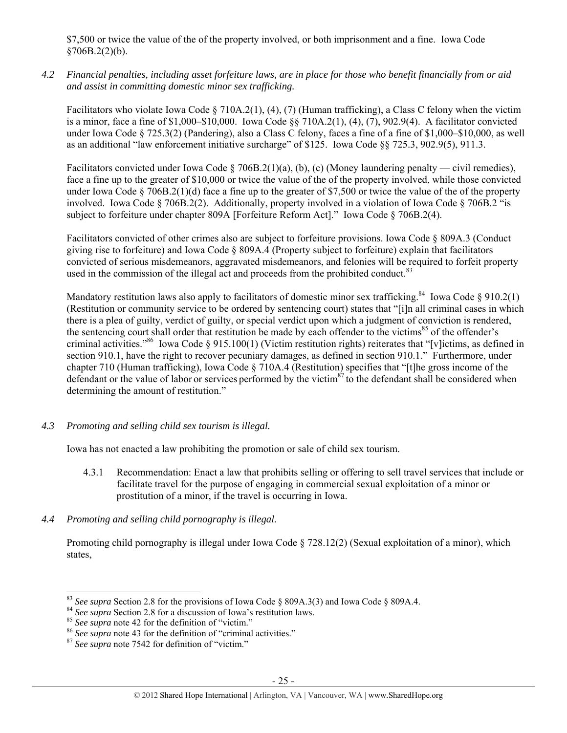\$7,500 or twice the value of the of the property involved, or both imprisonment and a fine. Iowa Code  $$706B.2(2)(b).$ 

*4.2 Financial penalties, including asset forfeiture laws, are in place for those who benefit financially from or aid and assist in committing domestic minor sex trafficking.* 

Facilitators who violate Iowa Code § 710A.2(1), (4), (7) (Human trafficking), a Class C felony when the victim is a minor, face a fine of \$1,000–\$10,000. Iowa Code §§ 710A.2(1), (4), (7), 902.9(4). A facilitator convicted under Iowa Code § 725.3(2) (Pandering), also a Class C felony, faces a fine of a fine of \$1,000–\$10,000, as well as an additional "law enforcement initiative surcharge" of \$125. Iowa Code §§ 725.3, 902.9(5), 911.3.

Facilitators convicted under Iowa Code § 706B.2(1)(a), (b), (c) (Money laundering penalty — civil remedies), face a fine up to the greater of \$10,000 or twice the value of the of the property involved, while those convicted under Iowa Code  $\S 706B.2(1)(d)$  face a fine up to the greater of \$7,500 or twice the value of the of the property involved. Iowa Code § 706B.2(2). Additionally, property involved in a violation of Iowa Code § 706B.2 "is subject to forfeiture under chapter 809A [Forfeiture Reform Act]." Iowa Code § 706B.2(4).

Facilitators convicted of other crimes also are subject to forfeiture provisions. Iowa Code § 809A.3 (Conduct giving rise to forfeiture) and Iowa Code § 809A.4 (Property subject to forfeiture) explain that facilitators convicted of serious misdemeanors, aggravated misdemeanors, and felonies will be required to forfeit property used in the commission of the illegal act and proceeds from the prohibited conduct.<sup>83</sup>

Mandatory restitution laws also apply to facilitators of domestic minor sex trafficking.<sup>84</sup> Iowa Code § 910.2(1) (Restitution or community service to be ordered by sentencing court) states that "[i]n all criminal cases in which there is a plea of guilty, verdict of guilty, or special verdict upon which a judgment of conviction is rendered, the sentencing court shall order that restitution be made by each offender to the victims<sup>85</sup> of the offender's criminal activities."86 Iowa Code § 915.100(1) (Victim restitution rights) reiterates that "[v]ictims, as defined in section 910.1, have the right to recover pecuniary damages, as defined in section 910.1." Furthermore, under chapter 710 (Human trafficking), Iowa Code § 710A.4 (Restitution) specifies that "[t]he gross income of the defendant or the value of labor or services performed by the victim $^{87}$  to the defendant shall be considered when determining the amount of restitution."

*4.3 Promoting and selling child sex tourism is illegal.* 

Iowa has not enacted a law prohibiting the promotion or sale of child sex tourism.

- 4.3.1 Recommendation: Enact a law that prohibits selling or offering to sell travel services that include or facilitate travel for the purpose of engaging in commercial sexual exploitation of a minor or prostitution of a minor, if the travel is occurring in Iowa.
- *4.4 Promoting and selling child pornography is illegal.*

Promoting child pornography is illegal under Iowa Code § 728.12(2) (Sexual exploitation of a minor), which states,

 $\overline{a}$ <sup>83</sup> See supra Section 2.8 for the provisions of Iowa Code § 809A.3(3) and Iowa Code § 809A.4.<br><sup>84</sup> See supra Section 2.8 for a discussion of Iowa's restitution laws.<br><sup>85</sup> See supra note 42 for the definition of "victim."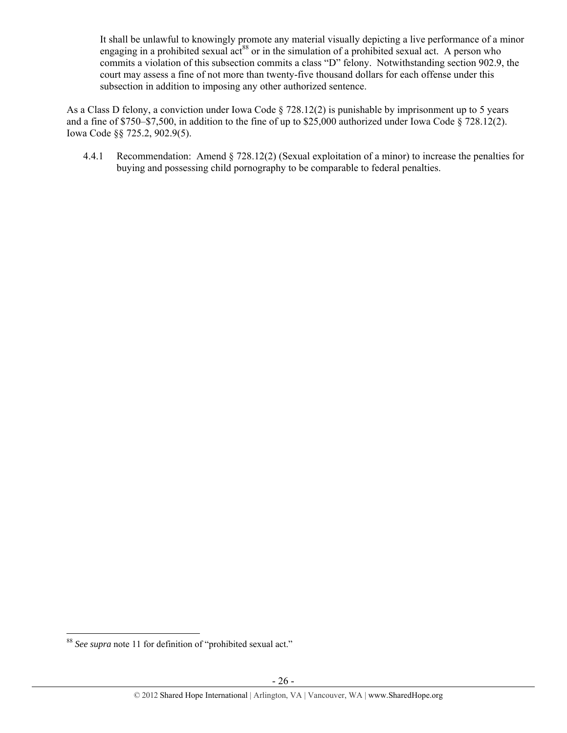It shall be unlawful to knowingly promote any material visually depicting a live performance of a minor engaging in a prohibited sexual  $\text{act}^{88}$  or in the simulation of a prohibited sexual act. A person who commits a violation of this subsection commits a class "D" felony. Notwithstanding section 902.9, the court may assess a fine of not more than twenty-five thousand dollars for each offense under this subsection in addition to imposing any other authorized sentence.

As a Class D felony, a conviction under Iowa Code § 728.12(2) is punishable by imprisonment up to 5 years and a fine of \$750–\$7,500, in addition to the fine of up to \$25,000 authorized under Iowa Code § 728.12(2). Iowa Code §§ 725.2, 902.9(5).

4.4.1 Recommendation: Amend § 728.12(2) (Sexual exploitation of a minor) to increase the penalties for buying and possessing child pornography to be comparable to federal penalties.

 $\overline{a}$ <sup>88</sup> *See supra* note 11 for definition of "prohibited sexual act."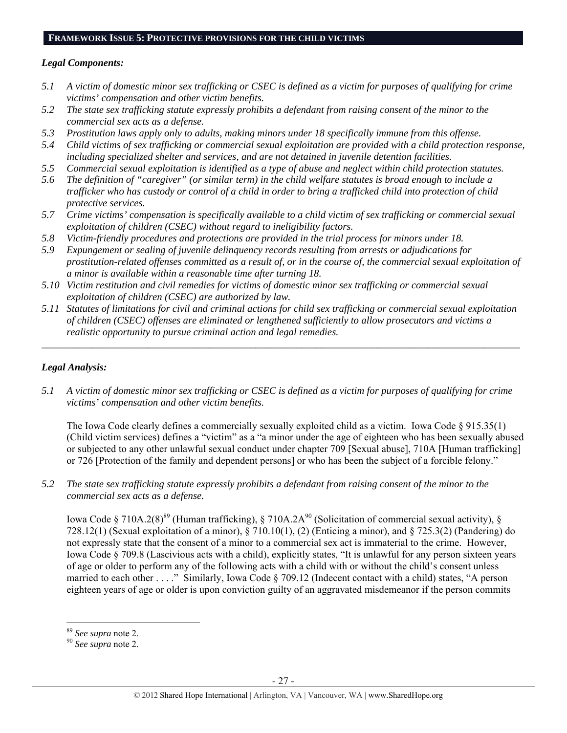# **FRAMEWORK ISSUE 5: PROTECTIVE PROVISIONS FOR THE CHILD VICTIMS**

## *Legal Components:*

- *5.1 A victim of domestic minor sex trafficking or CSEC is defined as a victim for purposes of qualifying for crime victims' compensation and other victim benefits.*
- *5.2 The state sex trafficking statute expressly prohibits a defendant from raising consent of the minor to the commercial sex acts as a defense.*
- *5.3 Prostitution laws apply only to adults, making minors under 18 specifically immune from this offense.*
- *5.4 Child victims of sex trafficking or commercial sexual exploitation are provided with a child protection response, including specialized shelter and services, and are not detained in juvenile detention facilities.*
- *5.5 Commercial sexual exploitation is identified as a type of abuse and neglect within child protection statutes.*
- *5.6 The definition of "caregiver" (or similar term) in the child welfare statutes is broad enough to include a trafficker who has custody or control of a child in order to bring a trafficked child into protection of child protective services.*
- *5.7 Crime victims' compensation is specifically available to a child victim of sex trafficking or commercial sexual exploitation of children (CSEC) without regard to ineligibility factors.*
- *5.8 Victim-friendly procedures and protections are provided in the trial process for minors under 18.*
- *5.9 Expungement or sealing of juvenile delinquency records resulting from arrests or adjudications for prostitution-related offenses committed as a result of, or in the course of, the commercial sexual exploitation of a minor is available within a reasonable time after turning 18.*
- *5.10 Victim restitution and civil remedies for victims of domestic minor sex trafficking or commercial sexual exploitation of children (CSEC) are authorized by law.*
- *5.11 Statutes of limitations for civil and criminal actions for child sex trafficking or commercial sexual exploitation of children (CSEC) offenses are eliminated or lengthened sufficiently to allow prosecutors and victims a realistic opportunity to pursue criminal action and legal remedies.*

*\_\_\_\_\_\_\_\_\_\_\_\_\_\_\_\_\_\_\_\_\_\_\_\_\_\_\_\_\_\_\_\_\_\_\_\_\_\_\_\_\_\_\_\_\_\_\_\_\_\_\_\_\_\_\_\_\_\_\_\_\_\_\_\_\_\_\_\_\_\_\_\_\_\_\_\_\_\_\_\_\_\_\_\_\_\_\_\_\_\_\_\_\_\_* 

# *Legal Analysis:*

*5.1 A victim of domestic minor sex trafficking or CSEC is defined as a victim for purposes of qualifying for crime victims' compensation and other victim benefits.* 

The Iowa Code clearly defines a commercially sexually exploited child as a victim. Iowa Code § 915.35(1) (Child victim services) defines a "victim" as a "a minor under the age of eighteen who has been sexually abused or subjected to any other unlawful sexual conduct under chapter 709 [Sexual abuse], 710A [Human trafficking] or 726 [Protection of the family and dependent persons] or who has been the subject of a forcible felony."

*5.2 The state sex trafficking statute expressly prohibits a defendant from raising consent of the minor to the commercial sex acts as a defense.* 

Iowa Code § 710A.2(8)<sup>89</sup> (Human trafficking), § 710A.2A<sup>90</sup> (Solicitation of commercial sexual activity), § 728.12(1) (Sexual exploitation of a minor), § 710.10(1), (2) (Enticing a minor), and § 725.3(2) (Pandering) do not expressly state that the consent of a minor to a commercial sex act is immaterial to the crime. However, Iowa Code § 709.8 (Lascivious acts with a child), explicitly states, "It is unlawful for any person sixteen years of age or older to perform any of the following acts with a child with or without the child's consent unless married to each other . . . ." Similarly, Iowa Code § 709.12 (Indecent contact with a child) states, "A person eighteen years of age or older is upon conviction guilty of an aggravated misdemeanor if the person commits

<sup>89</sup> *See supra* note 2. 90 *See supra* note 2.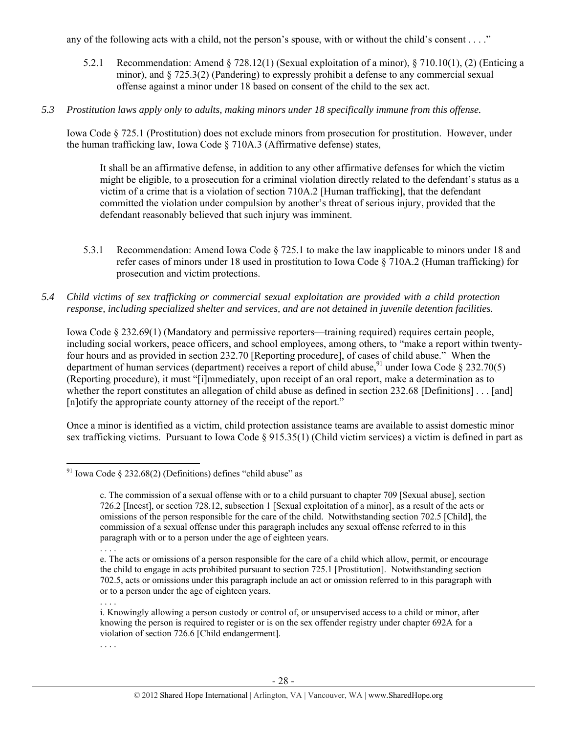any of the following acts with a child, not the person's spouse, with or without the child's consent . . . ."

- 5.2.1 Recommendation: Amend § 728.12(1) (Sexual exploitation of a minor), § 710.10(1), (2) (Enticing a minor), and § 725.3(2) (Pandering) to expressly prohibit a defense to any commercial sexual offense against a minor under 18 based on consent of the child to the sex act.
- *5.3 Prostitution laws apply only to adults, making minors under 18 specifically immune from this offense.*

Iowa Code § 725.1 (Prostitution) does not exclude minors from prosecution for prostitution. However, under the human trafficking law, Iowa Code § 710A.3 (Affirmative defense) states,

It shall be an affirmative defense, in addition to any other affirmative defenses for which the victim might be eligible, to a prosecution for a criminal violation directly related to the defendant's status as a victim of a crime that is a violation of section 710A.2 [Human trafficking], that the defendant committed the violation under compulsion by another's threat of serious injury, provided that the defendant reasonably believed that such injury was imminent.

- 5.3.1 Recommendation: Amend Iowa Code § 725.1 to make the law inapplicable to minors under 18 and refer cases of minors under 18 used in prostitution to Iowa Code § 710A.2 (Human trafficking) for prosecution and victim protections.
- *5.4 Child victims of sex trafficking or commercial sexual exploitation are provided with a child protection response, including specialized shelter and services, and are not detained in juvenile detention facilities.*

Iowa Code § 232.69(1) (Mandatory and permissive reporters—training required) requires certain people, including social workers, peace officers, and school employees, among others, to "make a report within twentyfour hours and as provided in section 232.70 [Reporting procedure], of cases of child abuse." When the department of human services (department) receives a report of child abuse,<sup>91</sup> under Iowa Code § 232.70(5) (Reporting procedure), it must "[i]mmediately, upon receipt of an oral report, make a determination as to whether the report constitutes an allegation of child abuse as defined in section 232.68 [Definitions] . . . [and] [n]otify the appropriate county attorney of the receipt of the report."

Once a minor is identified as a victim, child protection assistance teams are available to assist domestic minor sex trafficking victims. Pursuant to Iowa Code  $\S 915.35(1)$  (Child victim services) a victim is defined in part as

. . . .

. . . .

 $\overline{a}$ <sup>91</sup> Iowa Code § 232.68(2) (Definitions) defines "child abuse" as

c. The commission of a sexual offense with or to a child pursuant to chapter 709 [Sexual abuse], section 726.2 [Incest], or section 728.12, subsection 1 [Sexual exploitation of a minor], as a result of the acts or omissions of the person responsible for the care of the child. Notwithstanding section 702.5 [Child], the commission of a sexual offense under this paragraph includes any sexual offense referred to in this paragraph with or to a person under the age of eighteen years.

<sup>. . . .</sup> 

e. The acts or omissions of a person responsible for the care of a child which allow, permit, or encourage the child to engage in acts prohibited pursuant to section 725.1 [Prostitution]. Notwithstanding section 702.5, acts or omissions under this paragraph include an act or omission referred to in this paragraph with or to a person under the age of eighteen years.

i. Knowingly allowing a person custody or control of, or unsupervised access to a child or minor, after knowing the person is required to register or is on the sex offender registry under chapter 692A for a violation of section 726.6 [Child endangerment].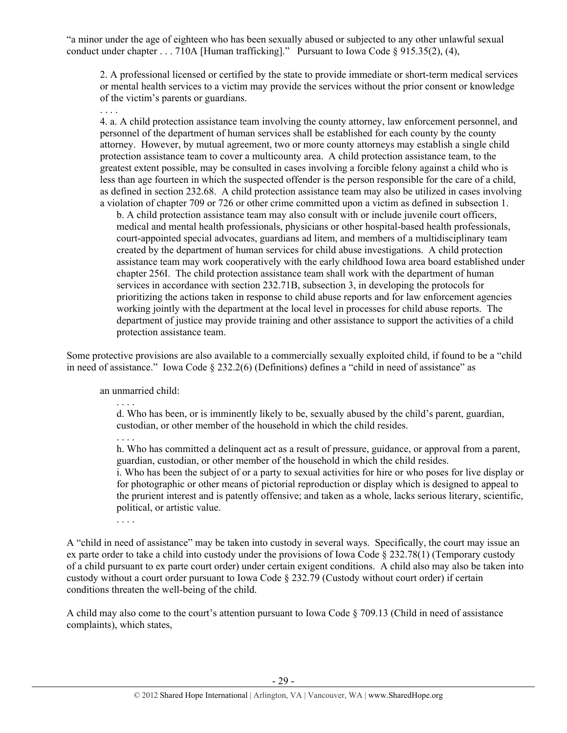"a minor under the age of eighteen who has been sexually abused or subjected to any other unlawful sexual conduct under chapter . . . 710A [Human trafficking]." Pursuant to Iowa Code § 915.35(2), (4),

2. A professional licensed or certified by the state to provide immediate or short-term medical services or mental health services to a victim may provide the services without the prior consent or knowledge of the victim's parents or guardians.

. . . .

4. a. A child protection assistance team involving the county attorney, law enforcement personnel, and personnel of the department of human services shall be established for each county by the county attorney. However, by mutual agreement, two or more county attorneys may establish a single child protection assistance team to cover a multicounty area. A child protection assistance team, to the greatest extent possible, may be consulted in cases involving a forcible felony against a child who is less than age fourteen in which the suspected offender is the person responsible for the care of a child, as defined in section 232.68. A child protection assistance team may also be utilized in cases involving a violation of chapter 709 or 726 or other crime committed upon a victim as defined in subsection 1.

b. A child protection assistance team may also consult with or include juvenile court officers, medical and mental health professionals, physicians or other hospital-based health professionals, court-appointed special advocates, guardians ad litem, and members of a multidisciplinary team created by the department of human services for child abuse investigations. A child protection assistance team may work cooperatively with the early childhood Iowa area board established under chapter 256I. The child protection assistance team shall work with the department of human services in accordance with section 232.71B, subsection 3, in developing the protocols for prioritizing the actions taken in response to child abuse reports and for law enforcement agencies working jointly with the department at the local level in processes for child abuse reports. The department of justice may provide training and other assistance to support the activities of a child protection assistance team.

Some protective provisions are also available to a commercially sexually exploited child, if found to be a "child in need of assistance." Iowa Code § 232.2(6) (Definitions) defines a "child in need of assistance" as

an unmarried child:

d. Who has been, or is imminently likely to be, sexually abused by the child's parent, guardian, custodian, or other member of the household in which the child resides.

. . . .

. . . .

h. Who has committed a delinquent act as a result of pressure, guidance, or approval from a parent, guardian, custodian, or other member of the household in which the child resides.

i. Who has been the subject of or a party to sexual activities for hire or who poses for live display or for photographic or other means of pictorial reproduction or display which is designed to appeal to the prurient interest and is patently offensive; and taken as a whole, lacks serious literary, scientific, political, or artistic value.

. . . .

A "child in need of assistance" may be taken into custody in several ways. Specifically, the court may issue an ex parte order to take a child into custody under the provisions of Iowa Code § 232.78(1) (Temporary custody of a child pursuant to ex parte court order) under certain exigent conditions. A child also may also be taken into custody without a court order pursuant to Iowa Code § 232.79 (Custody without court order) if certain conditions threaten the well-being of the child.

A child may also come to the court's attention pursuant to Iowa Code § 709.13 (Child in need of assistance complaints), which states,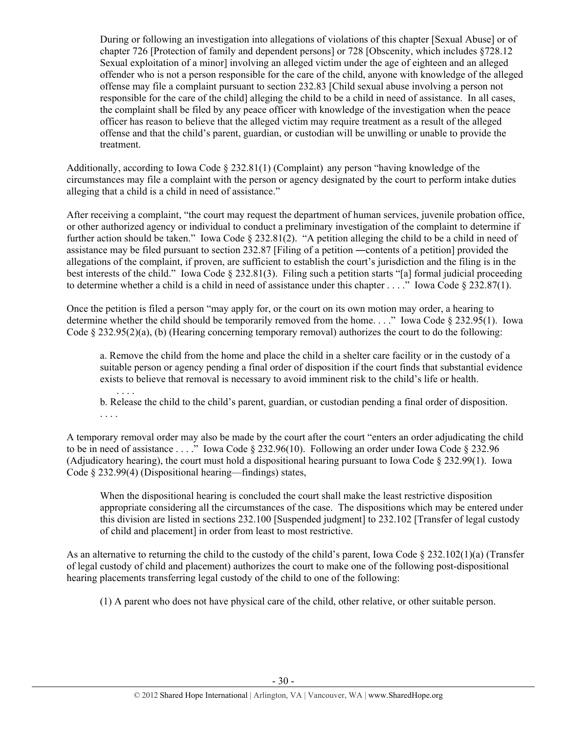During or following an investigation into allegations of violations of this chapter [Sexual Abuse] or of chapter 726 [Protection of family and dependent persons] or 728 [Obscenity, which includes §728.12 Sexual exploitation of a minor] involving an alleged victim under the age of eighteen and an alleged offender who is not a person responsible for the care of the child, anyone with knowledge of the alleged offense may file a complaint pursuant to section 232.83 [Child sexual abuse involving a person not responsible for the care of the child] alleging the child to be a child in need of assistance. In all cases, the complaint shall be filed by any peace officer with knowledge of the investigation when the peace officer has reason to believe that the alleged victim may require treatment as a result of the alleged offense and that the child's parent, guardian, or custodian will be unwilling or unable to provide the treatment.

Additionally, according to Iowa Code § 232.81(1) (Complaint) any person "having knowledge of the circumstances may file a complaint with the person or agency designated by the court to perform intake duties alleging that a child is a child in need of assistance."

After receiving a complaint, "the court may request the department of human services, juvenile probation office, or other authorized agency or individual to conduct a preliminary investigation of the complaint to determine if further action should be taken." Iowa Code § 232.81(2). "A petition alleging the child to be a child in need of assistance may be filed pursuant to section 232.87 [Filing of a petition ―contents of a petition] provided the allegations of the complaint, if proven, are sufficient to establish the court's jurisdiction and the filing is in the best interests of the child." Iowa Code § 232.81(3). Filing such a petition starts "[a] formal judicial proceeding to determine whether a child is a child in need of assistance under this chapter . . . ." Iowa Code § 232.87(1).

Once the petition is filed a person "may apply for, or the court on its own motion may order, a hearing to determine whether the child should be temporarily removed from the home. . . ." Iowa Code § 232.95(1). Iowa Code § 232.95(2)(a), (b) (Hearing concerning temporary removal) authorizes the court to do the following:

a. Remove the child from the home and place the child in a shelter care facility or in the custody of a suitable person or agency pending a final order of disposition if the court finds that substantial evidence exists to believe that removal is necessary to avoid imminent risk to the child's life or health. . . . .

b. Release the child to the child's parent, guardian, or custodian pending a final order of disposition. . . . .

A temporary removal order may also be made by the court after the court "enters an order adjudicating the child to be in need of assistance . . . ." Iowa Code § 232.96(10). Following an order under Iowa Code § 232.96 (Adjudicatory hearing), the court must hold a dispositional hearing pursuant to Iowa Code § 232.99(1). Iowa Code § 232.99(4) (Dispositional hearing—findings) states,

When the dispositional hearing is concluded the court shall make the least restrictive disposition appropriate considering all the circumstances of the case. The dispositions which may be entered under this division are listed in sections 232.100 [Suspended judgment] to 232.102 [Transfer of legal custody of child and placement] in order from least to most restrictive.

As an alternative to returning the child to the custody of the child's parent, Iowa Code  $\S 232.102(1)(a)$  (Transfer of legal custody of child and placement) authorizes the court to make one of the following post-dispositional hearing placements transferring legal custody of the child to one of the following:

(1) A parent who does not have physical care of the child, other relative, or other suitable person.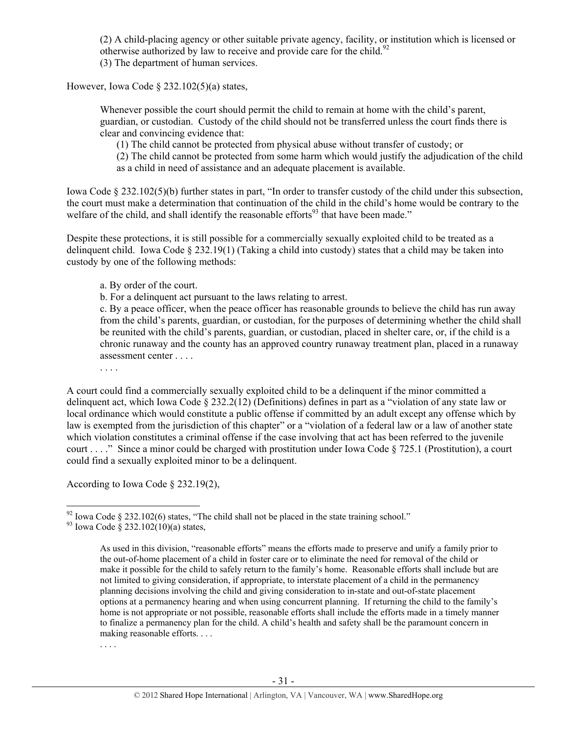(2) A child-placing agency or other suitable private agency, facility, or institution which is licensed or otherwise authorized by law to receive and provide care for the child.<sup>92</sup> (3) The department of human services.

However, Iowa Code § 232.102(5)(a) states,

Whenever possible the court should permit the child to remain at home with the child's parent, guardian, or custodian. Custody of the child should not be transferred unless the court finds there is clear and convincing evidence that:

(1) The child cannot be protected from physical abuse without transfer of custody; or

(2) The child cannot be protected from some harm which would justify the adjudication of the child as a child in need of assistance and an adequate placement is available.

Iowa Code § 232.102(5)(b) further states in part, "In order to transfer custody of the child under this subsection, the court must make a determination that continuation of the child in the child's home would be contrary to the welfare of the child, and shall identify the reasonable efforts<sup>93</sup> that have been made."

Despite these protections, it is still possible for a commercially sexually exploited child to be treated as a delinquent child. Iowa Code § 232.19(1) (Taking a child into custody) states that a child may be taken into custody by one of the following methods:

a. By order of the court.

b. For a delinquent act pursuant to the laws relating to arrest.

c. By a peace officer, when the peace officer has reasonable grounds to believe the child has run away from the child's parents, guardian, or custodian, for the purposes of determining whether the child shall be reunited with the child's parents, guardian, or custodian, placed in shelter care, or, if the child is a chronic runaway and the county has an approved country runaway treatment plan, placed in a runaway assessment center . . . .

. . . .

A court could find a commercially sexually exploited child to be a delinquent if the minor committed a delinquent act, which Iowa Code § 232.2(12) (Definitions) defines in part as a "violation of any state law or local ordinance which would constitute a public offense if committed by an adult except any offense which by law is exempted from the jurisdiction of this chapter" or a "violation of a federal law or a law of another state which violation constitutes a criminal offense if the case involving that act has been referred to the juvenile court . . . ." Since a minor could be charged with prostitution under Iowa Code § 725.1 (Prostitution), a court could find a sexually exploited minor to be a delinquent.

According to Iowa Code § 232.19(2),

. . . .

<sup>&</sup>lt;sup>92</sup> Iowa Code § 232.102(6) states, "The child shall not be placed in the state training school."<br><sup>93</sup> Iowa Code § 232.102(10)(a) states,

As used in this division, "reasonable efforts" means the efforts made to preserve and unify a family prior to the out-of-home placement of a child in foster care or to eliminate the need for removal of the child or make it possible for the child to safely return to the family's home. Reasonable efforts shall include but are not limited to giving consideration, if appropriate, to interstate placement of a child in the permanency planning decisions involving the child and giving consideration to in-state and out-of-state placement options at a permanency hearing and when using concurrent planning. If returning the child to the family's home is not appropriate or not possible, reasonable efforts shall include the efforts made in a timely manner to finalize a permanency plan for the child. A child's health and safety shall be the paramount concern in making reasonable efforts. . . .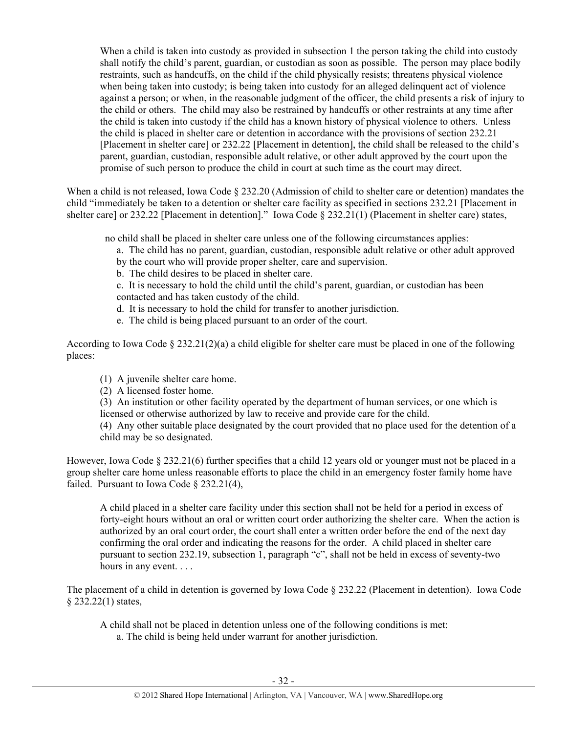When a child is taken into custody as provided in subsection 1 the person taking the child into custody shall notify the child's parent, guardian, or custodian as soon as possible. The person may place bodily restraints, such as handcuffs, on the child if the child physically resists; threatens physical violence when being taken into custody; is being taken into custody for an alleged delinquent act of violence against a person; or when, in the reasonable judgment of the officer, the child presents a risk of injury to the child or others. The child may also be restrained by handcuffs or other restraints at any time after the child is taken into custody if the child has a known history of physical violence to others. Unless the child is placed in shelter care or detention in accordance with the provisions of section 232.21 [Placement in shelter care] or 232.22 [Placement in detention], the child shall be released to the child's parent, guardian, custodian, responsible adult relative, or other adult approved by the court upon the promise of such person to produce the child in court at such time as the court may direct.

When a child is not released, Iowa Code § 232.20 (Admission of child to shelter care or detention) mandates the child "immediately be taken to a detention or shelter care facility as specified in sections 232.21 [Placement in shelter care] or 232.22 [Placement in detention]." Iowa Code § 232.21(1) (Placement in shelter care) states,

no child shall be placed in shelter care unless one of the following circumstances applies:

- a. The child has no parent, guardian, custodian, responsible adult relative or other adult approved
- by the court who will provide proper shelter, care and supervision.
- b. The child desires to be placed in shelter care.

c. It is necessary to hold the child until the child's parent, guardian, or custodian has been contacted and has taken custody of the child.

- d. It is necessary to hold the child for transfer to another jurisdiction.
- e. The child is being placed pursuant to an order of the court.

According to Iowa Code § 232.21(2)(a) a child eligible for shelter care must be placed in one of the following places:

- (1) A juvenile shelter care home.
- (2) A licensed foster home.
- (3) An institution or other facility operated by the department of human services, or one which is licensed or otherwise authorized by law to receive and provide care for the child.

(4) Any other suitable place designated by the court provided that no place used for the detention of a child may be so designated.

However, Iowa Code § 232.21(6) further specifies that a child 12 years old or younger must not be placed in a group shelter care home unless reasonable efforts to place the child in an emergency foster family home have failed. Pursuant to Iowa Code § 232.21(4),

A child placed in a shelter care facility under this section shall not be held for a period in excess of forty-eight hours without an oral or written court order authorizing the shelter care. When the action is authorized by an oral court order, the court shall enter a written order before the end of the next day confirming the oral order and indicating the reasons for the order. A child placed in shelter care pursuant to section 232.19, subsection 1, paragraph "c", shall not be held in excess of seventy-two hours in any event. . . .

The placement of a child in detention is governed by Iowa Code § 232.22 (Placement in detention). Iowa Code § 232.22(1) states,

A child shall not be placed in detention unless one of the following conditions is met: a. The child is being held under warrant for another jurisdiction.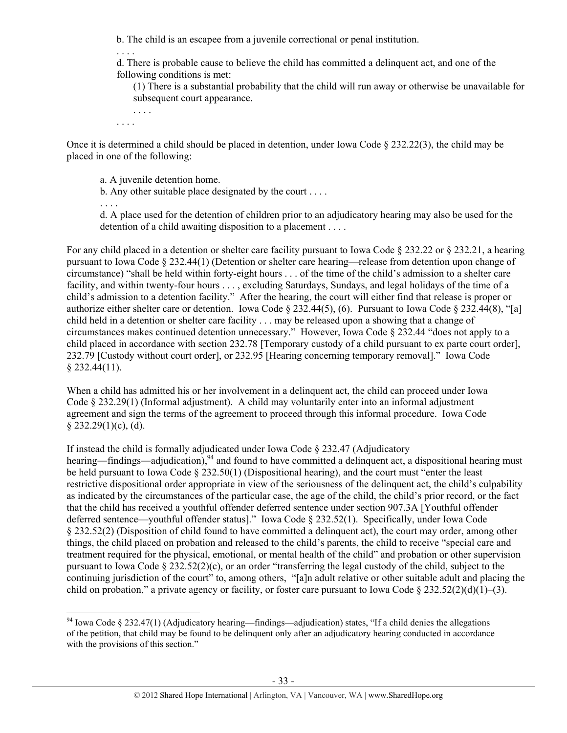b. The child is an escapee from a juvenile correctional or penal institution.

d. There is probable cause to believe the child has committed a delinquent act, and one of the following conditions is met:

(1) There is a substantial probability that the child will run away or otherwise be unavailable for subsequent court appearance.

. . . . . . . .

 $\overline{a}$ 

. . . .

Once it is determined a child should be placed in detention, under Iowa Code § 232.22(3), the child may be placed in one of the following:

a. A juvenile detention home.

b. Any other suitable place designated by the court . . . .

. . . . d. A place used for the detention of children prior to an adjudicatory hearing may also be used for the detention of a child awaiting disposition to a placement . . . .

For any child placed in a detention or shelter care facility pursuant to Iowa Code  $\S 232.22$  or  $\S 232.21$ , a hearing pursuant to Iowa Code § 232.44(1) (Detention or shelter care hearing—release from detention upon change of circumstance) "shall be held within forty-eight hours . . . of the time of the child's admission to a shelter care facility, and within twenty-four hours . . . , excluding Saturdays, Sundays, and legal holidays of the time of a child's admission to a detention facility." After the hearing, the court will either find that release is proper or authorize either shelter care or detention. Iowa Code § 232.44(5), (6). Pursuant to Iowa Code § 232.44(8), "[a] child held in a detention or shelter care facility . . . may be released upon a showing that a change of circumstances makes continued detention unnecessary." However, Iowa Code § 232.44 "does not apply to a child placed in accordance with section 232.78 [Temporary custody of a child pursuant to ex parte court order], 232.79 [Custody without court order], or 232.95 [Hearing concerning temporary removal]." Iowa Code § 232.44(11).

When a child has admitted his or her involvement in a delinquent act, the child can proceed under Iowa Code § 232.29(1) (Informal adjustment). A child may voluntarily enter into an informal adjustment agreement and sign the terms of the agreement to proceed through this informal procedure. Iowa Code  $§$  232.29(1)(c), (d).

If instead the child is formally adjudicated under Iowa Code § 232.47 (Adjudicatory hearing—findings—adjudication),<sup>94</sup> and found to have committed a delinquent act, a dispositional hearing must be held pursuant to Iowa Code  $\S 232.50(1)$  (Dispositional hearing), and the court must "enter the least restrictive dispositional order appropriate in view of the seriousness of the delinquent act, the child's culpability as indicated by the circumstances of the particular case, the age of the child, the child's prior record, or the fact that the child has received a youthful offender deferred sentence under section 907.3A [Youthful offender deferred sentence—youthful offender status]." Iowa Code § 232.52(1). Specifically, under Iowa Code § 232.52(2) (Disposition of child found to have committed a delinquent act), the court may order, among other things, the child placed on probation and released to the child's parents, the child to receive "special care and treatment required for the physical, emotional, or mental health of the child" and probation or other supervision pursuant to Iowa Code  $\S 232.52(2)(c)$ , or an order "transferring the legal custody of the child, subject to the continuing jurisdiction of the court" to, among others, "[a]n adult relative or other suitable adult and placing the child on probation," a private agency or facility, or foster care pursuant to Iowa Code  $\S 232.52(2)(d)(1)–(3)$ .

 $94$  Iowa Code § 232.47(1) (Adjudicatory hearing—findings—adjudication) states, "If a child denies the allegations of the petition, that child may be found to be delinquent only after an adjudicatory hearing conducted in accordance with the provisions of this section."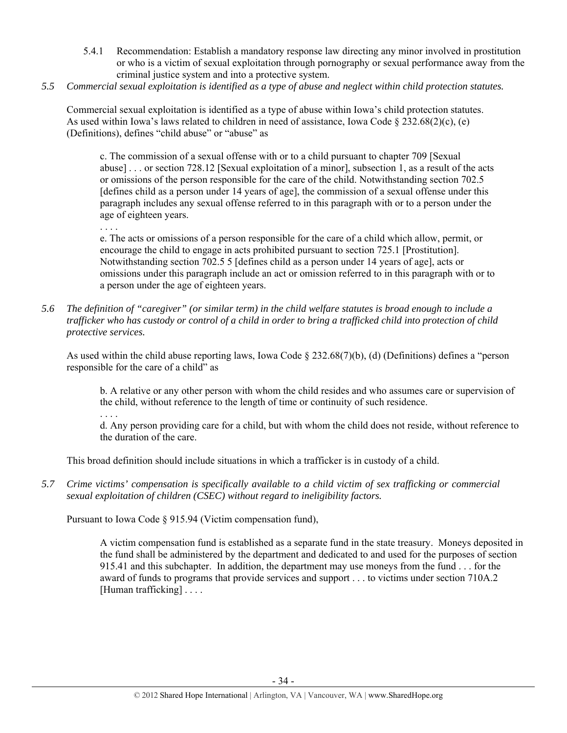- 5.4.1 Recommendation: Establish a mandatory response law directing any minor involved in prostitution or who is a victim of sexual exploitation through pornography or sexual performance away from the criminal justice system and into a protective system.
- *5.5 Commercial sexual exploitation is identified as a type of abuse and neglect within child protection statutes.*

Commercial sexual exploitation is identified as a type of abuse within Iowa's child protection statutes. As used within Iowa's laws related to children in need of assistance, Iowa Code  $\S 232.68(2)(c)$ , (e) (Definitions), defines "child abuse" or "abuse" as

c. The commission of a sexual offense with or to a child pursuant to chapter 709 [Sexual abuse] . . . or section 728.12 [Sexual exploitation of a minor], subsection 1, as a result of the acts or omissions of the person responsible for the care of the child. Notwithstanding section 702.5 [defines child as a person under 14 years of age], the commission of a sexual offense under this paragraph includes any sexual offense referred to in this paragraph with or to a person under the age of eighteen years.

. . . .

e. The acts or omissions of a person responsible for the care of a child which allow, permit, or encourage the child to engage in acts prohibited pursuant to section 725.1 [Prostitution]. Notwithstanding section 702.5 5 [defines child as a person under 14 years of age], acts or omissions under this paragraph include an act or omission referred to in this paragraph with or to a person under the age of eighteen years.

*5.6 The definition of "caregiver" (or similar term) in the child welfare statutes is broad enough to include a trafficker who has custody or control of a child in order to bring a trafficked child into protection of child protective services.* 

As used within the child abuse reporting laws, Iowa Code § 232.68(7)(b), (d) (Definitions) defines a "person responsible for the care of a child" as

b. A relative or any other person with whom the child resides and who assumes care or supervision of the child, without reference to the length of time or continuity of such residence.

. . . .

d. Any person providing care for a child, but with whom the child does not reside, without reference to the duration of the care.

This broad definition should include situations in which a trafficker is in custody of a child.

*5.7 Crime victims' compensation is specifically available to a child victim of sex trafficking or commercial sexual exploitation of children (CSEC) without regard to ineligibility factors.* 

Pursuant to Iowa Code § 915.94 (Victim compensation fund),

A victim compensation fund is established as a separate fund in the state treasury. Moneys deposited in the fund shall be administered by the department and dedicated to and used for the purposes of section 915.41 and this subchapter. In addition, the department may use moneys from the fund . . . for the award of funds to programs that provide services and support . . . to victims under section 710A.2 [Human trafficking] . . . .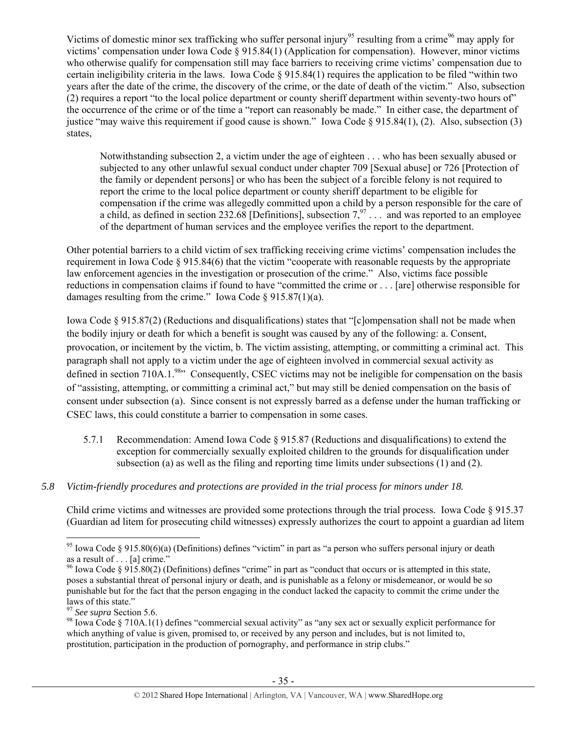Victims of domestic minor sex trafficking who suffer personal injury<sup>95</sup> resulting from a crime<sup>96</sup> may apply for victims' compensation under Iowa Code § 915.84(1) (Application for compensation). However, minor victims who otherwise qualify for compensation still may face barriers to receiving crime victims' compensation due to certain ineligibility criteria in the laws. Iowa Code  $\S 915.84(1)$  requires the application to be filed "within two years after the date of the crime, the discovery of the crime, or the date of death of the victim." Also, subsection (2) requires a report "to the local police department or county sheriff department within seventy-two hours of" the occurrence of the crime or of the time a "report can reasonably be made." In either case, the department of justice "may waive this requirement if good cause is shown." Iowa Code § 915.84(1), (2). Also, subsection (3) states,

Notwithstanding subsection 2, a victim under the age of eighteen . . . who has been sexually abused or subjected to any other unlawful sexual conduct under chapter 709 [Sexual abuse] or 726 [Protection of the family or dependent persons] or who has been the subject of a forcible felony is not required to report the crime to the local police department or county sheriff department to be eligible for compensation if the crime was allegedly committed upon a child by a person responsible for the care of a child, as defined in section 232.68 [Definitions], subsection  $7^{97}$ ... and was reported to an employee of the department of human services and the employee verifies the report to the department.

Other potential barriers to a child victim of sex trafficking receiving crime victims' compensation includes the requirement in Iowa Code § 915.84(6) that the victim "cooperate with reasonable requests by the appropriate law enforcement agencies in the investigation or prosecution of the crime." Also, victims face possible reductions in compensation claims if found to have "committed the crime or . . . [are] otherwise responsible for damages resulting from the crime." Iowa Code § 915.87(1)(a).

Iowa Code § 915.87(2) (Reductions and disqualifications) states that "[c]ompensation shall not be made when the bodily injury or death for which a benefit is sought was caused by any of the following: a. Consent, provocation, or incitement by the victim, b. The victim assisting, attempting, or committing a criminal act. This paragraph shall not apply to a victim under the age of eighteen involved in commercial sexual activity as defined in section 710A.1.<sup>98</sup> Consequently, CSEC victims may not be ineligible for compensation on the basis of "assisting, attempting, or committing a criminal act," but may still be denied compensation on the basis of consent under subsection (a). Since consent is not expressly barred as a defense under the human trafficking or CSEC laws, this could constitute a barrier to compensation in some cases.

- 5.7.1 Recommendation: Amend Iowa Code § 915.87 (Reductions and disqualifications) to extend the exception for commercially sexually exploited children to the grounds for disqualification under subsection (a) as well as the filing and reporting time limits under subsections (1) and (2).
- *5.8 Victim-friendly procedures and protections are provided in the trial process for minors under 18.*

Child crime victims and witnesses are provided some protections through the trial process. Iowa Code § 915.37 (Guardian ad litem for prosecuting child witnesses) expressly authorizes the court to appoint a guardian ad litem

 $\overline{a}$ <sup>95</sup> Iowa Code § 915.80(6)(a) (Definitions) defines "victim" in part as "a person who suffers personal injury or death as a result of . . . [a] crime."

<sup>&</sup>lt;sup>96</sup> Iowa Code § 915.80(2) (Definitions) defines "crime" in part as "conduct that occurs or is attempted in this state, poses a substantial threat of personal injury or death, and is punishable as a felony or misdemeanor, or would be so punishable but for the fact that the person engaging in the conduct lacked the capacity to commit the crime under the laws of this state."<br> $\frac{97}{2}$  See supra Section 5.6.

<sup>&</sup>lt;sup>98</sup> Iowa Code § 710A.1(1) defines "commercial sexual activity" as "any sex act or sexually explicit performance for which anything of value is given, promised to, or received by any person and includes, but is not limited to, prostitution, participation in the production of pornography, and performance in strip clubs."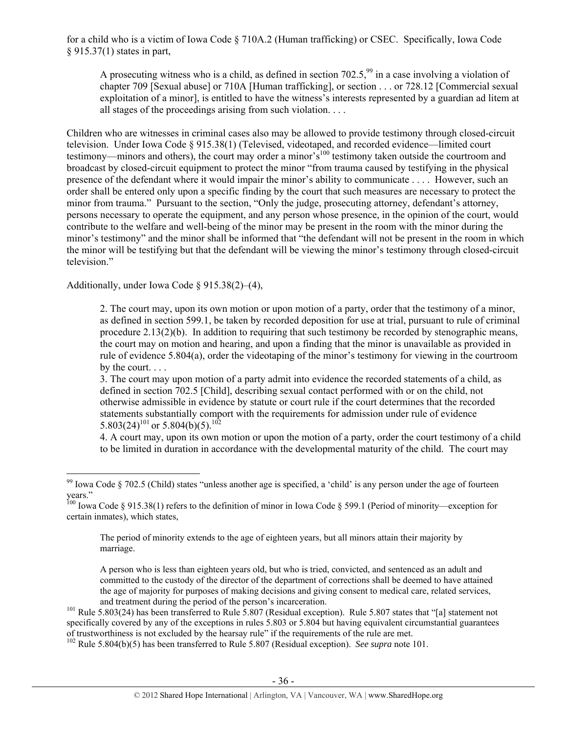for a child who is a victim of Iowa Code § 710A.2 (Human trafficking) or CSEC. Specifically, Iowa Code § 915.37(1) states in part,

A prosecuting witness who is a child, as defined in section  $702.5$ ,  $\frac{99}{9}$  in a case involving a violation of chapter 709 [Sexual abuse] or 710A [Human trafficking], or section . . . or 728.12 [Commercial sexual exploitation of a minor], is entitled to have the witness's interests represented by a guardian ad litem at all stages of the proceedings arising from such violation. . . .

Children who are witnesses in criminal cases also may be allowed to provide testimony through closed-circuit television. Under Iowa Code § 915.38(1) (Televised, videotaped, and recorded evidence—limited court testimony—minors and others), the court may order a minor's<sup>100</sup> testimony taken outside the courtroom and broadcast by closed-circuit equipment to protect the minor "from trauma caused by testifying in the physical presence of the defendant where it would impair the minor's ability to communicate . . . . However, such an order shall be entered only upon a specific finding by the court that such measures are necessary to protect the minor from trauma." Pursuant to the section, "Only the judge, prosecuting attorney, defendant's attorney, persons necessary to operate the equipment, and any person whose presence, in the opinion of the court, would contribute to the welfare and well-being of the minor may be present in the room with the minor during the minor's testimony" and the minor shall be informed that "the defendant will not be present in the room in which the minor will be testifying but that the defendant will be viewing the minor's testimony through closed-circuit television"

Additionally, under Iowa Code § 915.38(2)–(4),

2. The court may, upon its own motion or upon motion of a party, order that the testimony of a minor, as defined in section 599.1, be taken by recorded deposition for use at trial, pursuant to rule of criminal procedure 2.13(2)(b). In addition to requiring that such testimony be recorded by stenographic means, the court may on motion and hearing, and upon a finding that the minor is unavailable as provided in rule of evidence 5.804(a), order the videotaping of the minor's testimony for viewing in the courtroom by the court...

3. The court may upon motion of a party admit into evidence the recorded statements of a child, as defined in section 702.5 [Child], describing sexual contact performed with or on the child, not otherwise admissible in evidence by statute or court rule if the court determines that the recorded statements substantially comport with the requirements for admission under rule of evidence 5.803(24)<sup>101</sup> or 5.804(b)(5).<sup>102</sup>

4. A court may, upon its own motion or upon the motion of a party, order the court testimony of a child to be limited in duration in accordance with the developmental maturity of the child. The court may

The period of minority extends to the age of eighteen years, but all minors attain their majority by marriage.

A person who is less than eighteen years old, but who is tried, convicted, and sentenced as an adult and committed to the custody of the director of the department of corrections shall be deemed to have attained the age of majority for purposes of making decisions and giving consent to medical care, related services,

and treatment during the period of the person's incarceration.<br><sup>101</sup> Rule 5.807 states that "[a] statement not<br><sup>101</sup> Rule 5.803(24) has been transferred to Rule 5.807 (Residual exception). Rule 5.807 states that "[a] state specifically covered by any of the exceptions in rules 5.803 or 5.804 but having equivalent circumstantial guarantees of trustworthiness is not excluded by the hearsay rule" if the requirements of the rule are met.

102 Rule 5.804(b)(5) has been transferred to Rule 5.807 (Residual exception). *See supra* note 101.

 $\overline{a}$  $99$  Iowa Code § 702.5 (Child) states "unless another age is specified, a 'child' is any person under the age of fourteen years."

<sup>&</sup>lt;sup>100</sup> Iowa Code § 915.38(1) refers to the definition of minor in Iowa Code § 599.1 (Period of minority—exception for certain inmates), which states,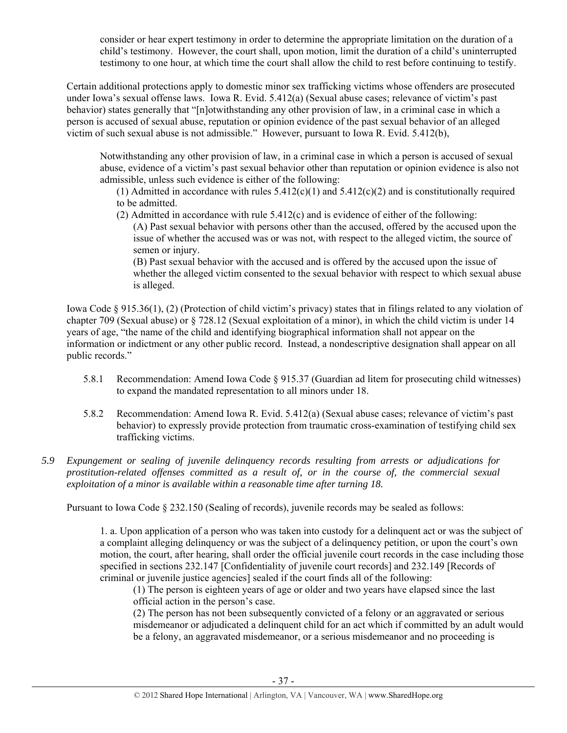consider or hear expert testimony in order to determine the appropriate limitation on the duration of a child's testimony. However, the court shall, upon motion, limit the duration of a child's uninterrupted testimony to one hour, at which time the court shall allow the child to rest before continuing to testify.

Certain additional protections apply to domestic minor sex trafficking victims whose offenders are prosecuted under Iowa's sexual offense laws. Iowa R. Evid. 5.412(a) (Sexual abuse cases; relevance of victim's past behavior) states generally that "[n]otwithstanding any other provision of law, in a criminal case in which a person is accused of sexual abuse, reputation or opinion evidence of the past sexual behavior of an alleged victim of such sexual abuse is not admissible." However, pursuant to Iowa R. Evid. 5.412(b),

Notwithstanding any other provision of law, in a criminal case in which a person is accused of sexual abuse, evidence of a victim's past sexual behavior other than reputation or opinion evidence is also not admissible, unless such evidence is either of the following:

(1) Admitted in accordance with rules  $5.412(c)(1)$  and  $5.412(c)(2)$  and is constitutionally required to be admitted.

(2) Admitted in accordance with rule 5.412(c) and is evidence of either of the following: (A) Past sexual behavior with persons other than the accused, offered by the accused upon the

issue of whether the accused was or was not, with respect to the alleged victim, the source of semen or injury.

(B) Past sexual behavior with the accused and is offered by the accused upon the issue of whether the alleged victim consented to the sexual behavior with respect to which sexual abuse is alleged.

Iowa Code § 915.36(1), (2) (Protection of child victim's privacy) states that in filings related to any violation of chapter 709 (Sexual abuse) or § 728.12 (Sexual exploitation of a minor), in which the child victim is under 14 years of age, "the name of the child and identifying biographical information shall not appear on the information or indictment or any other public record. Instead, a nondescriptive designation shall appear on all public records."

- 5.8.1 Recommendation: Amend Iowa Code § 915.37 (Guardian ad litem for prosecuting child witnesses) to expand the mandated representation to all minors under 18.
- 5.8.2 Recommendation: Amend Iowa R. Evid. 5.412(a) (Sexual abuse cases; relevance of victim's past behavior) to expressly provide protection from traumatic cross-examination of testifying child sex trafficking victims.
- *5.9 Expungement or sealing of juvenile delinquency records resulting from arrests or adjudications for prostitution-related offenses committed as a result of, or in the course of, the commercial sexual exploitation of a minor is available within a reasonable time after turning 18.*

Pursuant to Iowa Code § 232.150 (Sealing of records), juvenile records may be sealed as follows:

1. a. Upon application of a person who was taken into custody for a delinquent act or was the subject of a complaint alleging delinquency or was the subject of a delinquency petition, or upon the court's own motion, the court, after hearing, shall order the official juvenile court records in the case including those specified in sections 232.147 [Confidentiality of juvenile court records] and 232.149 [Records of criminal or juvenile justice agencies] sealed if the court finds all of the following:

(1) The person is eighteen years of age or older and two years have elapsed since the last official action in the person's case.

(2) The person has not been subsequently convicted of a felony or an aggravated or serious misdemeanor or adjudicated a delinquent child for an act which if committed by an adult would be a felony, an aggravated misdemeanor, or a serious misdemeanor and no proceeding is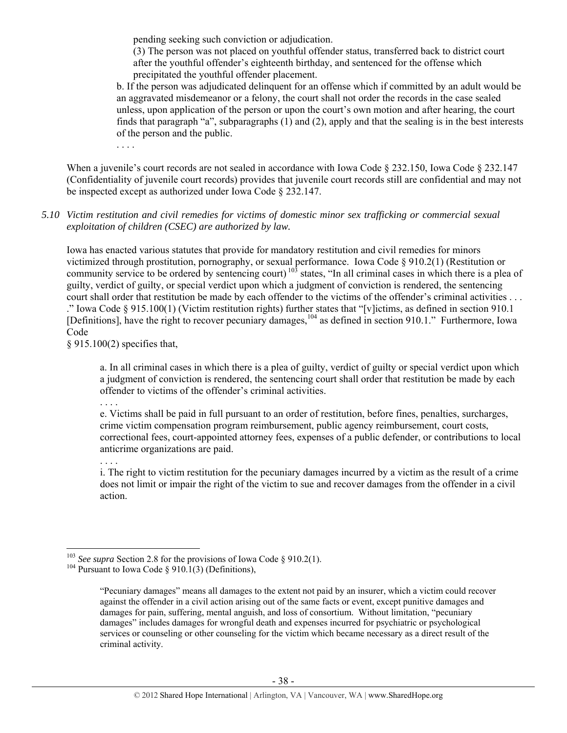pending seeking such conviction or adjudication.

(3) The person was not placed on youthful offender status, transferred back to district court after the youthful offender's eighteenth birthday, and sentenced for the offense which precipitated the youthful offender placement.

b. If the person was adjudicated delinquent for an offense which if committed by an adult would be an aggravated misdemeanor or a felony, the court shall not order the records in the case sealed unless, upon application of the person or upon the court's own motion and after hearing, the court finds that paragraph "a", subparagraphs (1) and (2), apply and that the sealing is in the best interests of the person and the public.

. . . .

When a juvenile's court records are not sealed in accordance with Iowa Code § 232.150, Iowa Code § 232.147 (Confidentiality of juvenile court records) provides that juvenile court records still are confidential and may not be inspected except as authorized under Iowa Code § 232.147.

*5.10 Victim restitution and civil remedies for victims of domestic minor sex trafficking or commercial sexual exploitation of children (CSEC) are authorized by law.* 

Iowa has enacted various statutes that provide for mandatory restitution and civil remedies for minors victimized through prostitution, pornography, or sexual performance. Iowa Code § 910.2(1) (Restitution or community service to be ordered by sentencing court)<sup>103</sup> states, "In all criminal cases in which there is a plea of guilty, verdict of guilty, or special verdict upon which a judgment of conviction is rendered, the sentencing court shall order that restitution be made by each offender to the victims of the offender's criminal activities . . . ." Iowa Code § 915.100(1) (Victim restitution rights) further states that "[v]ictims, as defined in section 910.1 [Definitions], have the right to recover pecuniary damages, <sup>104</sup> as defined in section 910.1." Furthermore, Iowa Code

§ 915.100(2) specifies that,

. . . .

 $\overline{a}$ 

a. In all criminal cases in which there is a plea of guilty, verdict of guilty or special verdict upon which a judgment of conviction is rendered, the sentencing court shall order that restitution be made by each offender to victims of the offender's criminal activities.

e. Victims shall be paid in full pursuant to an order of restitution, before fines, penalties, surcharges, crime victim compensation program reimbursement, public agency reimbursement, court costs, correctional fees, court-appointed attorney fees, expenses of a public defender, or contributions to local anticrime organizations are paid.

. . . . i. The right to victim restitution for the pecuniary damages incurred by a victim as the result of a crime does not limit or impair the right of the victim to sue and recover damages from the offender in a civil action.

<sup>&</sup>lt;sup>103</sup> *See supra* Section 2.8 for the provisions of Iowa Code § 910.2(1). <sup>104</sup> Pursuant to Iowa Code § 910.1(3) (Definitions),

<sup>&</sup>quot;Pecuniary damages" means all damages to the extent not paid by an insurer, which a victim could recover against the offender in a civil action arising out of the same facts or event, except punitive damages and damages for pain, suffering, mental anguish, and loss of consortium. Without limitation, "pecuniary damages" includes damages for wrongful death and expenses incurred for psychiatric or psychological services or counseling or other counseling for the victim which became necessary as a direct result of the criminal activity.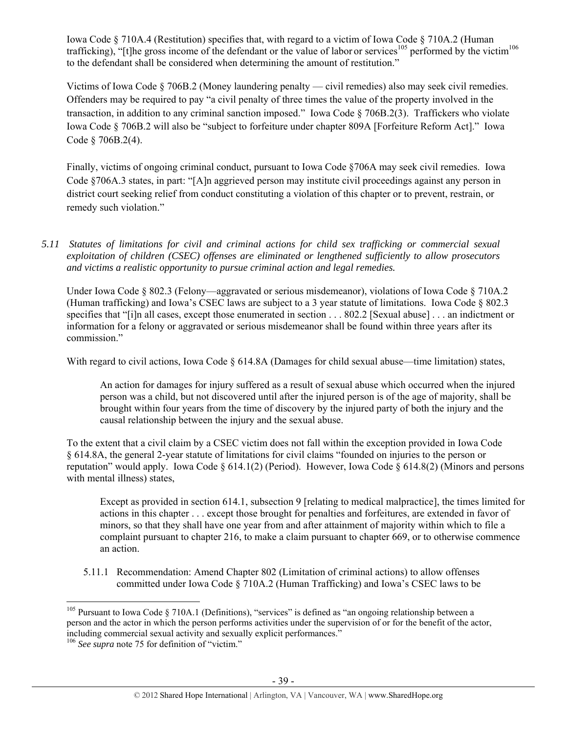Iowa Code § 710A.4 (Restitution) specifies that, with regard to a victim of Iowa Code § 710A.2 (Human trafficking), "[t]he gross income of the defendant or the value of labor or services<sup>105</sup> performed by the victim<sup>106</sup> to the defendant shall be considered when determining the amount of restitution."

Victims of Iowa Code § 706B.2 (Money laundering penalty — civil remedies) also may seek civil remedies. Offenders may be required to pay "a civil penalty of three times the value of the property involved in the transaction, in addition to any criminal sanction imposed." Iowa Code § 706B.2(3). Traffickers who violate Iowa Code § 706B.2 will also be "subject to forfeiture under chapter 809A [Forfeiture Reform Act]." Iowa Code § 706B.2(4).

Finally, victims of ongoing criminal conduct, pursuant to Iowa Code §706A may seek civil remedies. Iowa Code §706A.3 states, in part: "[A]n aggrieved person may institute civil proceedings against any person in district court seeking relief from conduct constituting a violation of this chapter or to prevent, restrain, or remedy such violation."

*5.11 Statutes of limitations for civil and criminal actions for child sex trafficking or commercial sexual exploitation of children (CSEC) offenses are eliminated or lengthened sufficiently to allow prosecutors and victims a realistic opportunity to pursue criminal action and legal remedies.* 

Under Iowa Code § 802.3 (Felony—aggravated or serious misdemeanor), violations of Iowa Code § 710A.2 (Human trafficking) and Iowa's CSEC laws are subject to a 3 year statute of limitations. Iowa Code § 802.3 specifies that "[i]n all cases, except those enumerated in section . . . 802.2 [Sexual abuse] . . . an indictment or information for a felony or aggravated or serious misdemeanor shall be found within three years after its commission."

With regard to civil actions, Iowa Code § 614.8A (Damages for child sexual abuse—time limitation) states,

An action for damages for injury suffered as a result of sexual abuse which occurred when the injured person was a child, but not discovered until after the injured person is of the age of majority, shall be brought within four years from the time of discovery by the injured party of both the injury and the causal relationship between the injury and the sexual abuse.

To the extent that a civil claim by a CSEC victim does not fall within the exception provided in Iowa Code § 614.8A, the general 2-year statute of limitations for civil claims "founded on injuries to the person or reputation" would apply. Iowa Code  $\S 614.1(2)$  (Period). However, Iowa Code  $\S 614.8(2)$  (Minors and persons with mental illness) states,

Except as provided in section 614.1, subsection 9 [relating to medical malpractice], the times limited for actions in this chapter . . . except those brought for penalties and forfeitures, are extended in favor of minors, so that they shall have one year from and after attainment of majority within which to file a complaint pursuant to chapter 216, to make a claim pursuant to chapter 669, or to otherwise commence an action.

5.11.1 Recommendation: Amend Chapter 802 (Limitation of criminal actions) to allow offenses committed under Iowa Code § 710A.2 (Human Trafficking) and Iowa's CSEC laws to be

 $\overline{a}$ <sup>105</sup> Pursuant to Iowa Code § 710A.1 (Definitions), "services" is defined as "an ongoing relationship between a person and the actor in which the person performs activities under the supervision of or for the benefit of the actor, including commercial sexual activity and sexually explicit performances."

<sup>106</sup> *See supra* note 75 for definition of "victim."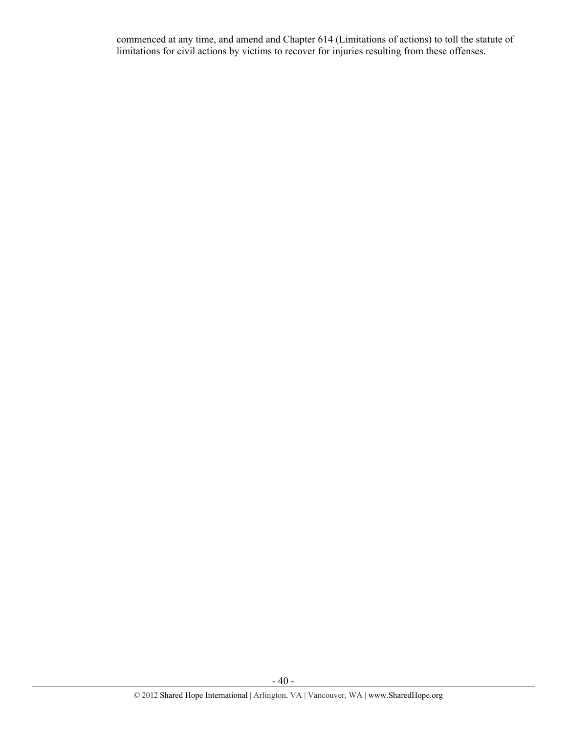commenced at any time, and amend and Chapter 614 (Limitations of actions) to toll the statute of limitations for civil actions by victims to recover for injuries resulting from these offenses.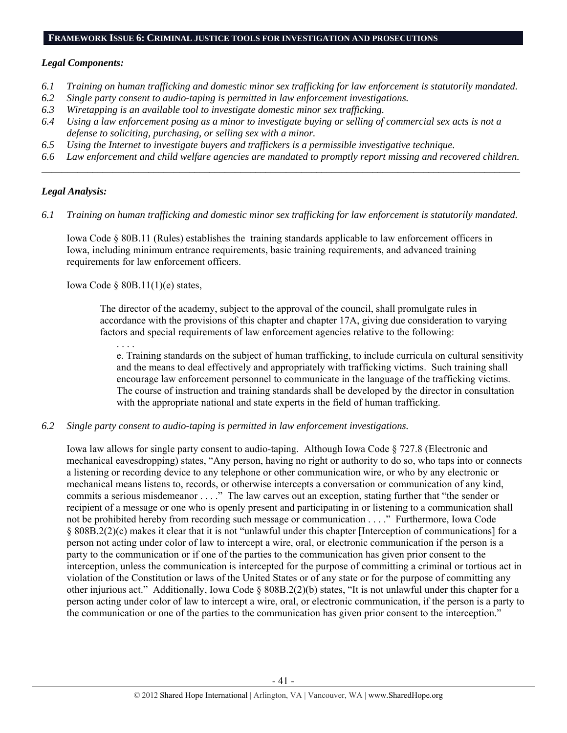#### **FRAMEWORK ISSUE 6: CRIMINAL JUSTICE TOOLS FOR INVESTIGATION AND PROSECUTIONS**

#### *Legal Components:*

- *6.1 Training on human trafficking and domestic minor sex trafficking for law enforcement is statutorily mandated.*
- *6.2 Single party consent to audio-taping is permitted in law enforcement investigations.*
- *6.3 Wiretapping is an available tool to investigate domestic minor sex trafficking.*
- *6.4 Using a law enforcement posing as a minor to investigate buying or selling of commercial sex acts is not a defense to soliciting, purchasing, or selling sex with a minor.*
- *6.5 Using the Internet to investigate buyers and traffickers is a permissible investigative technique.*
- *6.6 Law enforcement and child welfare agencies are mandated to promptly report missing and recovered children. \_\_\_\_\_\_\_\_\_\_\_\_\_\_\_\_\_\_\_\_\_\_\_\_\_\_\_\_\_\_\_\_\_\_\_\_\_\_\_\_\_\_\_\_\_\_\_\_\_\_\_\_\_\_\_\_\_\_\_\_\_\_\_\_\_\_\_\_\_\_\_\_\_\_\_\_\_\_\_\_\_\_\_\_\_\_\_\_\_\_\_\_\_\_*

## *Legal Analysis:*

*6.1 Training on human trafficking and domestic minor sex trafficking for law enforcement is statutorily mandated.* 

Iowa Code § 80B.11 (Rules) establishes the training standards applicable to law enforcement officers in Iowa, including minimum entrance requirements, basic training requirements, and advanced training requirements for law enforcement officers.

Iowa Code § 80B.11(1)(e) states,

The director of the academy, subject to the approval of the council, shall promulgate rules in accordance with the provisions of this chapter and chapter 17A, giving due consideration to varying factors and special requirements of law enforcement agencies relative to the following:

. . . . e. Training standards on the subject of human trafficking, to include curricula on cultural sensitivity and the means to deal effectively and appropriately with trafficking victims. Such training shall encourage law enforcement personnel to communicate in the language of the trafficking victims. The course of instruction and training standards shall be developed by the director in consultation with the appropriate national and state experts in the field of human trafficking.

*6.2 Single party consent to audio-taping is permitted in law enforcement investigations.* 

Iowa law allows for single party consent to audio-taping. Although Iowa Code § 727.8 (Electronic and mechanical eavesdropping) states, "Any person, having no right or authority to do so, who taps into or connects a listening or recording device to any telephone or other communication wire, or who by any electronic or mechanical means listens to, records, or otherwise intercepts a conversation or communication of any kind, commits a serious misdemeanor . . . ." The law carves out an exception, stating further that "the sender or recipient of a message or one who is openly present and participating in or listening to a communication shall not be prohibited hereby from recording such message or communication . . . ." Furthermore, Iowa Code § 808B.2(2)(c) makes it clear that it is not "unlawful under this chapter [Interception of communications] for a person not acting under color of law to intercept a wire, oral, or electronic communication if the person is a party to the communication or if one of the parties to the communication has given prior consent to the interception, unless the communication is intercepted for the purpose of committing a criminal or tortious act in violation of the Constitution or laws of the United States or of any state or for the purpose of committing any other injurious act." Additionally, Iowa Code § 808B.2(2)(b) states, "It is not unlawful under this chapter for a person acting under color of law to intercept a wire, oral, or electronic communication, if the person is a party to the communication or one of the parties to the communication has given prior consent to the interception."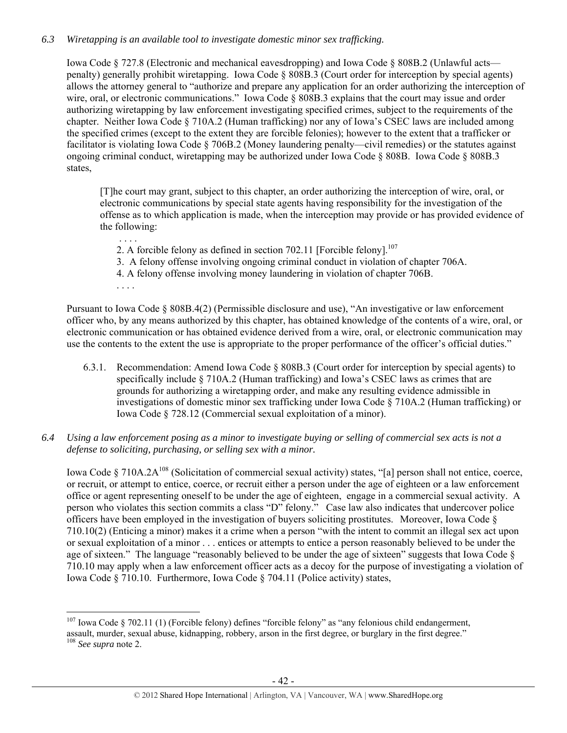## *6.3 Wiretapping is an available tool to investigate domestic minor sex trafficking.*

Iowa Code § 727.8 (Electronic and mechanical eavesdropping) and Iowa Code § 808B.2 (Unlawful acts penalty) generally prohibit wiretapping. Iowa Code § 808B.3 (Court order for interception by special agents) allows the attorney general to "authorize and prepare any application for an order authorizing the interception of wire, oral, or electronic communications." Iowa Code § 808B.3 explains that the court may issue and order authorizing wiretapping by law enforcement investigating specified crimes, subject to the requirements of the chapter. Neither Iowa Code § 710A.2 (Human trafficking) nor any of Iowa's CSEC laws are included among the specified crimes (except to the extent they are forcible felonies); however to the extent that a trafficker or facilitator is violating Iowa Code § 706B.2 (Money laundering penalty—civil remedies) or the statutes against ongoing criminal conduct, wiretapping may be authorized under Iowa Code § 808B. Iowa Code § 808B.3 states,

[T]he court may grant, subject to this chapter, an order authorizing the interception of wire, oral, or electronic communications by special state agents having responsibility for the investigation of the offense as to which application is made, when the interception may provide or has provided evidence of the following:

- . . . . 2. A forcible felony as defined in section 702.11 [Forcible felony].<sup>107</sup>
- 3. A felony offense involving ongoing criminal conduct in violation of chapter 706A.
- 4. A felony offense involving money laundering in violation of chapter 706B.
- . . . .

 $\overline{a}$ 

Pursuant to Iowa Code § 808B.4(2) (Permissible disclosure and use), "An investigative or law enforcement officer who, by any means authorized by this chapter, has obtained knowledge of the contents of a wire, oral, or electronic communication or has obtained evidence derived from a wire, oral, or electronic communication may use the contents to the extent the use is appropriate to the proper performance of the officer's official duties."

- 6.3.1. Recommendation: Amend Iowa Code § 808B.3 (Court order for interception by special agents) to specifically include § 710A.2 (Human trafficking) and Iowa's CSEC laws as crimes that are grounds for authorizing a wiretapping order, and make any resulting evidence admissible in investigations of domestic minor sex trafficking under Iowa Code § 710A.2 (Human trafficking) or Iowa Code § 728.12 (Commercial sexual exploitation of a minor).
- *6.4 Using a law enforcement posing as a minor to investigate buying or selling of commercial sex acts is not a defense to soliciting, purchasing, or selling sex with a minor.*

Iowa Code § 710A.2A<sup>108</sup> (Solicitation of commercial sexual activity) states, "[a] person shall not entice, coerce, or recruit, or attempt to entice, coerce, or recruit either a person under the age of eighteen or a law enforcement office or agent representing oneself to be under the age of eighteen, engage in a commercial sexual activity. A person who violates this section commits a class "D" felony." Case law also indicates that undercover police officers have been employed in the investigation of buyers soliciting prostitutes. Moreover, Iowa Code § 710.10(2) (Enticing a minor) makes it a crime when a person "with the intent to commit an illegal sex act upon or sexual exploitation of a minor . . . entices or attempts to entice a person reasonably believed to be under the age of sixteen." The language "reasonably believed to be under the age of sixteen" suggests that Iowa Code § 710.10 may apply when a law enforcement officer acts as a decoy for the purpose of investigating a violation of Iowa Code § 710.10. Furthermore, Iowa Code § 704.11 (Police activity) states,

<sup>&</sup>lt;sup>107</sup> Iowa Code § 702.11 (1) (Forcible felony) defines "forcible felony" as "any felonious child endangerment,

assault, murder, sexual abuse, kidnapping, robbery, arson in the first degree, or burglary in the first degree." <sup>108</sup> *See supra* note 2.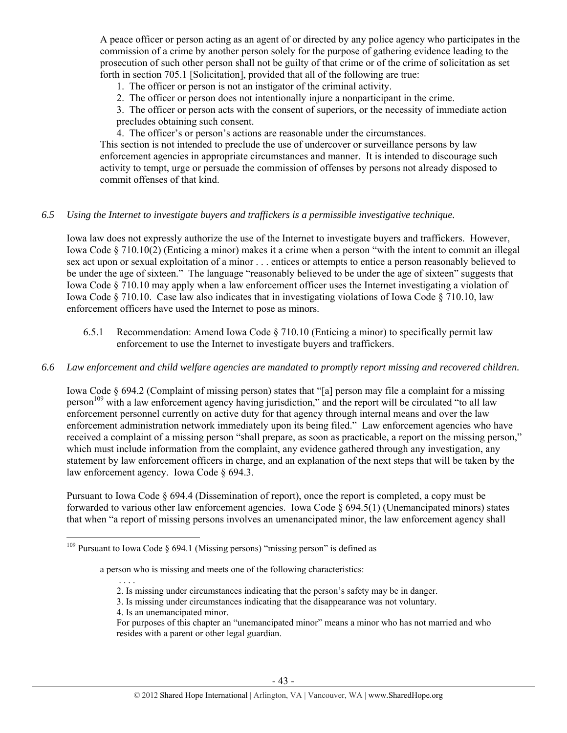A peace officer or person acting as an agent of or directed by any police agency who participates in the commission of a crime by another person solely for the purpose of gathering evidence leading to the prosecution of such other person shall not be guilty of that crime or of the crime of solicitation as set forth in section 705.1 [Solicitation], provided that all of the following are true:

- 1. The officer or person is not an instigator of the criminal activity.
- 2. The officer or person does not intentionally injure a nonparticipant in the crime.
- 3. The officer or person acts with the consent of superiors, or the necessity of immediate action
- precludes obtaining such consent.
- 4. The officer's or person's actions are reasonable under the circumstances.

This section is not intended to preclude the use of undercover or surveillance persons by law enforcement agencies in appropriate circumstances and manner. It is intended to discourage such activity to tempt, urge or persuade the commission of offenses by persons not already disposed to commit offenses of that kind.

## *6.5 Using the Internet to investigate buyers and traffickers is a permissible investigative technique.*

Iowa law does not expressly authorize the use of the Internet to investigate buyers and traffickers. However, Iowa Code § 710.10(2) (Enticing a minor) makes it a crime when a person "with the intent to commit an illegal sex act upon or sexual exploitation of a minor . . . entices or attempts to entice a person reasonably believed to be under the age of sixteen." The language "reasonably believed to be under the age of sixteen" suggests that Iowa Code § 710.10 may apply when a law enforcement officer uses the Internet investigating a violation of Iowa Code § 710.10. Case law also indicates that in investigating violations of Iowa Code § 710.10, law enforcement officers have used the Internet to pose as minors.

6.5.1 Recommendation: Amend Iowa Code § 710.10 (Enticing a minor) to specifically permit law enforcement to use the Internet to investigate buyers and traffickers.

## *6.6 Law enforcement and child welfare agencies are mandated to promptly report missing and recovered children.*

Iowa Code § 694.2 (Complaint of missing person) states that "[a] person may file a complaint for a missing person<sup>109</sup> with a law enforcement agency having jurisdiction," and the report will be circulated "to all law enforcement personnel currently on active duty for that agency through internal means and over the law enforcement administration network immediately upon its being filed." Law enforcement agencies who have received a complaint of a missing person "shall prepare, as soon as practicable, a report on the missing person," which must include information from the complaint, any evidence gathered through any investigation, any statement by law enforcement officers in charge, and an explanation of the next steps that will be taken by the law enforcement agency. Iowa Code § 694.3.

Pursuant to Iowa Code § 694.4 (Dissemination of report), once the report is completed, a copy must be forwarded to various other law enforcement agencies. Iowa Code § 694.5(1) (Unemancipated minors) states that when "a report of missing persons involves an umenancipated minor, the law enforcement agency shall

- 2. Is missing under circumstances indicating that the person's safety may be in danger.
- 3. Is missing under circumstances indicating that the disappearance was not voluntary.
- 4. Is an unemancipated minor.

. . . .

 $109$  Pursuant to Iowa Code § 694.1 (Missing persons) "missing person" is defined as

a person who is missing and meets one of the following characteristics:

For purposes of this chapter an "unemancipated minor" means a minor who has not married and who resides with a parent or other legal guardian.